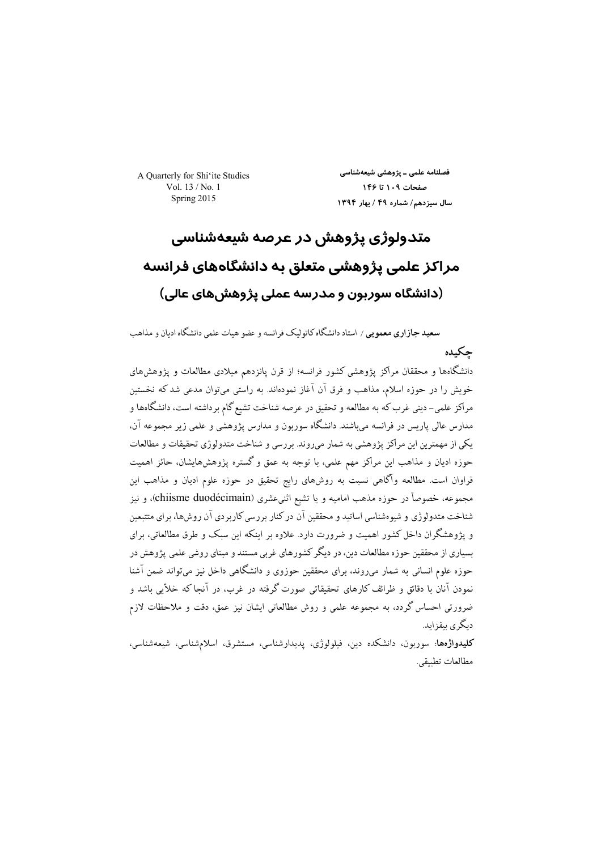A Quarterly for Shi'ite Studies Vol. 13 / No. 1 Spring 2015

فصلنامه علمی ــ پژوهشی شیعهشناسی صفحات ١٠٩ تا ١۴۶ سال سيزدهم/ شماره ۴۹ / بهار ١٣٩۴

# متدولوژی پژوهش در عرصه شیعهشناسی مراکز علمی پژوهشی متعلق به دانشگاههای فرانسه (دانشگاه سوربون و مدرسه عملی پژوهشهای عالی)

**سعید جازاری معمویی** / استاد دانشگاه کاتولیک فرانسه و عضو هیات علمی دانشگاه ادیان و مذاهب حكىدە

دانشگاهها و محققان مراکز پژوهشی کشور فرانسه؛ از قرن پانزدهم میلادی مطالعات و پژوهش@ای خویش را در حوزه اسلام، مذاهب و فرق آن آغاز نمودهاند. به راستی میتوان مدعی شد که نخستین مراکز علمی– دینی غرب که به مطالعه و تحقیق در عرصه شناخت تشیع گام برداشته است، دانشگاهها و مدارس عالی پاریس در فرانسه میباشند. دانشگاه سوربون و مدارس پژوهشی و علمی زیر مجموعه آن، یکی از مهمترین این مراکز پژوهشی به شمار میروند. بررسی و شناخت متدولوژی تحقیقات و مطالعات حوزه ادیان و مذاهب این مراکز مهم علمی، با توجه به عمق و گستره پژوهشهایشان، حائز اهمیت فراوان است. مطالعه وأكاهي نسبت به روشهاي رايج تحقيق در حوزه علوم اديان و مذاهب اين مجموعه، خصوصاً در حوزه مذهب امامیه و یا تشیع اثنیءشری (chiisme duodécimain)، و نیز شناخت متدولوژی و شبوهشناسی اساتید و محققین آن در کنار بر رسی کاربر دی آن روشها، برای متتبعین و پژوهشگران داخل کشور اهمیت و ضرورت دارد. علاوه بر اینکه این سبک و طرق مطالعاتی، برای بسیاری از محققین حوزه مطالعات دین، در دیگر کشورهای غربی مستند و مبنای روشی علمی پژوهش در حوزه علوم انسانی به شمار میروند، برای محققین حوزوی و دانشگاهی داخل نیز میتواند ضمن آشنا نمودن آنان با دقائق و ظرائف کارهای تحقیقاتی صورت گرفته در غرب، در آنجا که خلأیی باشد و ضرورتی احساس گردد، به مجموعه علمی و روش مطالعاتی ایشان نیز عمق، دقت و ملاحظات لازم دىگر ي پىفزايد.

کلیدواژهها: سوربون، دانشکده دین، فیلولوژی، پدیدارشناسی، مستشرق، اسلامشناسی، شیعهشناسی، مطالعات تطبيقي.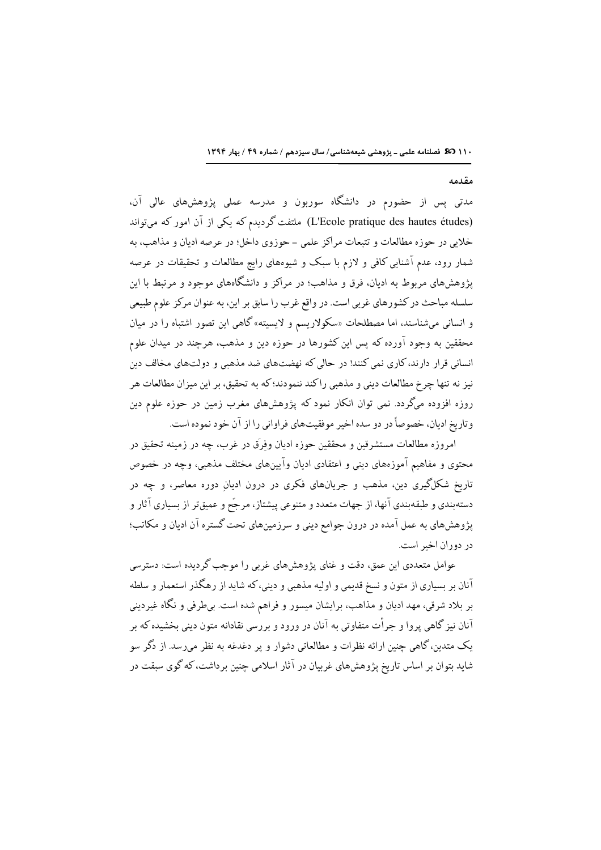#### مقدمه

مدتی پس از حضورم در دانشگاه سوربون و مدرسه عملی پژوهشهای عالی آن، (L'Ecole pratique des hautes études) ملتفت گردیدم که یکی از آن امور که میتواند خلايي در حوزه مطالعات و تتبعات مراكز علمي - حوزوي داخل؛ در عرصه اديان و مذاهب، به شمار رود، عدم آشنایی کافی و لازم با سبک و شیوههای رایج مطالعات و تحقیقات در عرصه یژوهشهای مربوط به ادیان، فرق و مذاهب؛ در مراکز و دانشگاههای موجود و مرتبط با این سلسله مباحث در کشورهای غربی است. در واقع غرب را سابق بر این، به عنوان مرکز علوم طبیعی و انسانی میشناسند، اما مصطلحات «سکولاریسم و لایسیته» گاهی این تصور اشتباه را در میان محققین به وجود آورده که پس این کشورها در حوزه دین و مذهب، هرچند در میدان علوم انسانی قرار دارند، کاری نمی کنند! در حالی که نهضتهای ضد مذهبی و دولتهای مخالف دین نيز نه تنها چرخ مطالعات ديني و مذهبي راكند ننمودند؛ كه به تحقيق، بر اين ميزان مطالعات هر روزه افزوده میگردد. نمی توان انکار نمود که پژوهشهای مغرب زمین در حوزه علوم دین وتاريخ اديان، خصوصاً در دو سده اخير موفقيتهاي فراواني را از آن خود نموده است.

امروزه مطالعات مستشرقين و محققين حوزه اديان وفرَق در غرب، چه در زمينه تحقيق در محتوی و مفاهیم آموزههای دینی و اعتقادی ادیان وآیینهای مختلف مذهبی، وجه در خصوص تاریخ شکلگیری دین، مذهب و جریانهای فکری در درون ادیان دوره معاصر، و چه در دستهبندي و طبقهبندي آنها، از جهات متعدد و متنوعي پيشتاز، مرجَّح و عميقتر از بسياري آثار و پژوهش های به عمل آمده در درون جوامع دینی و سرزمینهای تحت گستره آن ادیان و مکاتب؛ در دوران اخير است.

عوامل متعددی این عمق، دقت و غنای پژوهشهای غربی را موجب گردیده است: دسترسی .<br>آنان بر بسیاری از متون و نسخ قدیمی و اولیه مذهبی و دینی، که شاید از رهگذر استعمار و سلطه بر بلاد شرقی، مهد ادیان و مذاهب، برایشان میسور و فراهم شده است. بی طرفی و نگاه غیردینی آنان نیز گاهی پروا و جرأت متفاوتی به آنان در ورود و بررسی نقادانه متون دینی بخشیده که بر یک متدین، گاهی چنین ارائه نظرات و مطالعاتی دشوار و پر دغدغه به نظر می رسد. از دگر سو شاید بتوان بر اساس تاریخ پژوهشهای غربیان در آثار اسلامی چنین برداشت، که گوی سبقت در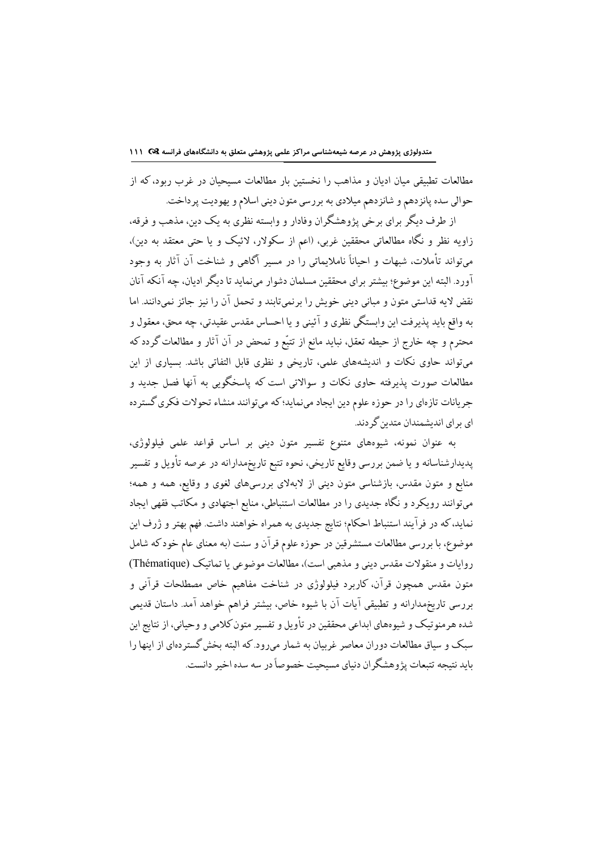مطالعات تطبیقی میان ادیان و مذاهب را نخستین بار مطالعات مسیحیان در غرب ربود، که از حوالي سده پانزدهم و شانزدهم ميلادي به بررسي متون ديني اسلام و يهوديت پرداخت.

از طرف دیگر برای برخی پژوهشگران وفادار و وابسته نظری به یک دین، مذهب و فرقه، زاویه نظر و نگاه مطالعاتی محققین غربی، (اعم از سکولار، لائیک و یا حتی معتقد به دین)، میتواند تأملات، شبهات و احیاناً ناملایماتی را در مسیر آگاهی و شناخت آن آثار به وجود آورد. البته این موضوع؛ بیشتر برای محققین مسلمان دشوار می;نماید تا دیگر ادیان، چه آنکه آنان نقض لايه قداستي متون و مباني ديني خويش را برنميتابند و تحمل آن را نيز جائز نميدانند. اما به واقع بايد پذيرفت اين وابستگي نظري و آئيني و يا احساس مقدس عقيدتي، چه محق، معقول و محترم و چه خارج از حیطه تعقل، نباید مانع از تتبّع و تمحض در آن آثار و مطالعات گردد که میتواند حاوی نکات و اندیشههای علمی، تاریخی و نظری قابل التفاتی باشد. بسیاری از این مطالعات صورت پذیرفته حاوی نکات و سوالاتی است که پاسخگویی به آنها فصل جدید و جريانات تازهاي را در حوزه علوم دين ايجاد مي نمايد؛ كه مي توانند منشاء تحولات فكرى گستر ده ای برای اندیشمندان متدین گردند.

به عنوان نمونه، شیوههای متنوع تفسیر متون دینی بر اساس قواعد علمی فیلولوژی، پدیدارشناسانه و یا ضمن بررسی وقایع تاریخی، نحوه تتبع تاریخمدارانه در عرصه تأویل و تفسیر منابع و متون مقدس، بازشناسی متون دینی از لابهلای بررسیهای لغوی و وقایع، همه و همه؛ میتوانند رویکرد و نگاه جدیدی را در مطالعات استنباطی، منابع اجتهادی و مکاتب فقهی ایجاد نماید، که در فرآیند استنباط احکام؛ نتایج جدیدی به همراه خواهند داشت. فهم بهتر و ژرف این موضوع، با بررسي مطالعات مستشرقين در حوزه علوم قرآن و سنت (به معناي عام خود كه شامل روايات و منقولات مقدس ديني و مذهبي است)، مطالعات موضوعي يا تماتيک (Thématique) متون مقدس همچون قرآن، کاربرد فیلولوژی در شناخت مفاهیم خاص مصطلحات قرآنی و بررسی تاریخمدارانه و تطبیقی آیات آن با شیوه خاص، بیشتر فراهم خواهد آمد. داستان قدیمی شده هر منو تیک و شیوههای ابداعی محققین در تأویل و تفسیر متون کلامی و وحیانی، از نتایج این سبک و سیاق مطالعات دوران معاصر غربیان به شمار میرود.که البته بخش گستردهای از اینها را بابد نتيجه تتبعات پژوهشگران دنياي مسيحيت خصوصاً در سه سده اخير دانست.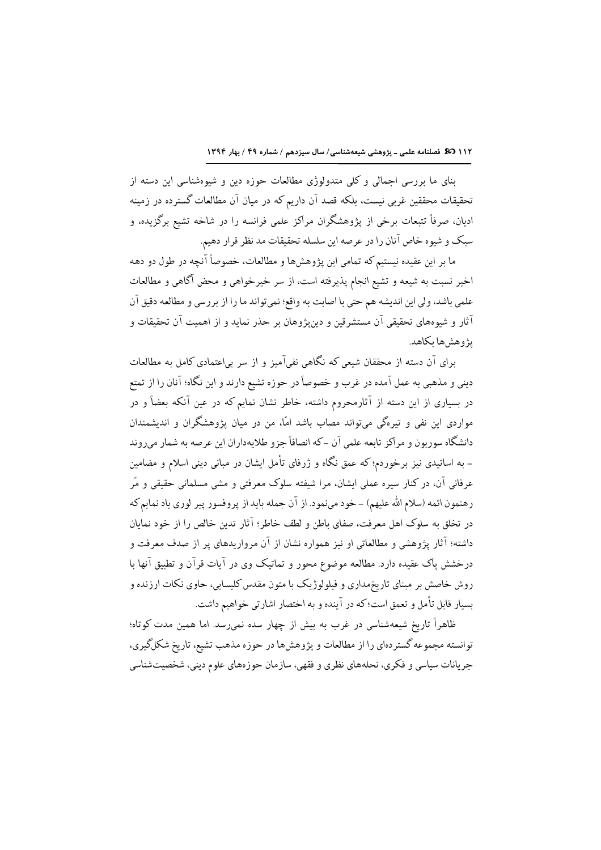بنای ما بررسی اجمالی و کلی متدولوژی مطالعات حوزه دین و شیوهشناسی این دسته از تحقیقات محققین غربی نیست، بلکه قصد آن داریم که در میان آن مطالعات گسترده در زمینه ادیان، صرفاً تتبعات برخی از پژوهشگران مراکز علمی فرانسه را در شاخه تشیع برگزیده، و سبک و شیوه خاص آنان را در عرصه این سلسله تحقیقات مد نظر قرار دهیم.

ما بر این عقیده نیستیم که تمامی این پژوهشها و مطالعات، خصوصاً آنچه در طول دو دهه اخیر نسبت به شیعه و تشیع انجام پذیرفته است، از سر خیرخواهی و محض آگاهی و مطالعات علمي باشد، ولي اين انديشه هم حتى با اصابت به واقع؛ نميتواند ما را از بررسي و مطالعه دقيق آن آثار و شیوههای تحقیقی آن مستشرقین و دین $\zeta$ وهان بر حذر نماید و از اهمیت آن تحقیقات و يۋوھش ھا بكاھد.

برای آن دسته از محققان شیعی که نگاهی نفیآمیز و از سر بیاعتمادی کامل به مطالعات دینی و مذهبی به عمل آمده در غرب و خصوصاً در حوزه تشیع دارند و این نگاه؛ آنان را از تمتع در بسیاری از این دسته از آثارمحروم داشته، خاطر نشان نمایم که در عین آنکه بعضاً و در مواردی این نفی و تیرهگی میتواند مصاب باشد امّا، من در میان پژوهشگران و اندیشمندان دانشگاه سوربون و مراکز تابعه علمی آن –که انصافاً جزو طلایهداران این عرصه به شمار میروند – به اساتیدی نیز برخوردم؛ که عمق نگاه و ژرفای تأمل ایشان در مبانی دینی اسلام و مضامین عرفانی آن، در کنار سیره عملی ایشان، مرا شیفته سلوک معرفتی و مشی مسلمانی حقیقی و مّر رهنمون ائمه (سلام الله عليهم) – خود مىنمود. از آن جمله بايد از پروفسور پير لوري ياد نمايم كه در تخلق به سلوک اهل معرفت، صفای باطن و لطف خاطر؛ آثار تدین خالص را از خود نمایان داشته؛ آثار پژوهشی و مطالعاتی او نیز همواره نشان از آن مرواریدهای پر از صدف معرفت و درخشش پاک عقیده دارد. مطالعه موضوع محور و تماتیک وی در آیات قرآن و تطبیق آنها با روش خاصش بر مبنای تاریخمداری و فیلولوژیک با متون مقدس کلیسایی، حاوی نکات ارزنده و بسيار قابل تأمل و تعمق است؛ كه در آينده و به اختصار اشارتي خواهيم داشت.

ظاهراً تاریخ شیعهشناسی در غرب به بیش از چهار سده نمیرسد. اما همین مدت کوتاه؛ توانسته مجموعه گستردهای را از مطالعات و پژوهشها در حوزه مذهب تشیع، تاریخ شکلگیری، جریانات سیاسی و فکری، نحلههای نظری و فقهی، سازمان حوزههای علوم دینی، شخصیتشناسی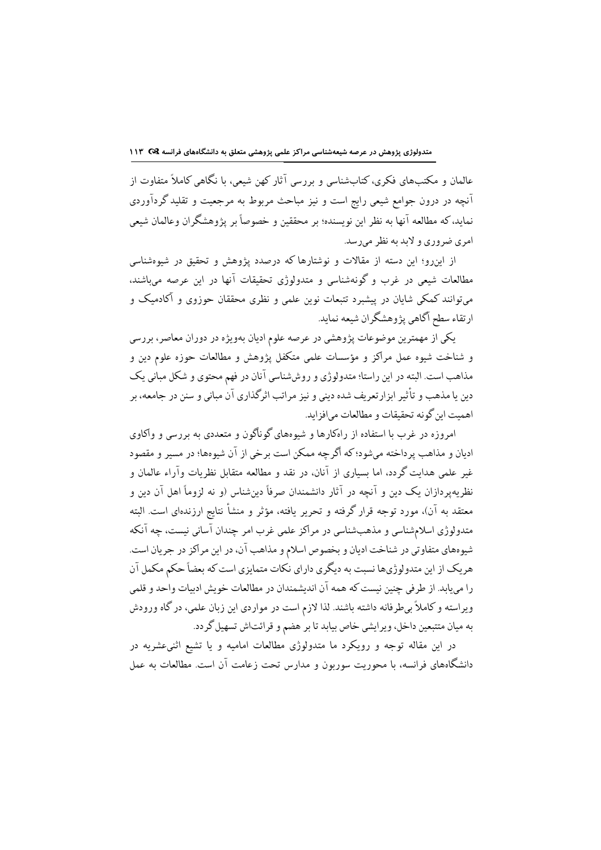عالمان و مکتبهای فکری، کتابشناسی و بررسی آثار کهن شیعی، با نگاهی کاملاً متفاوت از ۔<br>آنچه در درون جوامع شیعی رایج است و نیز مباحث مربوط به مرجعیت و تقلید گردآوردی نماید،که مطالعه آنها به نظر این نویسنده؛ بر محققین و خصوصاً بر پژوهشگران وعالمان شیعی امري ضروري و لايد په نظر مي رسد.

از اینرو؛ این دسته از مقالات و نوشتارها که درصدد پژوهش و تحقیق در شیوهشناسی مطالعات شیعی در غرب و گونهشناسی و متدولوژی تحقیقات آنها در این عرصه می باشند، میتوانند کمکی شایان در پیشبرد تتبعات نوین علمی و نظری محققان حوزوی و آکادمیک و ارتقاء سطح أكاهي يژوهشگران شيعه نمايد.

یکی از مهمترین موضوعات پژوهشی در عرصه علوم ادیان بهویژه در دوران معاصر، بررسی و شناخت شیوه عمل مراکز و مؤسسات علمی متکفل پژوهش و مطالعات حوزه علوم دین و مذاهب است. البته در این راستا؛ متدولوژی و روششناسی آنان در فهم محتوی و شکل مبانی یک دین یا مذهب و تأثیر ابزارتعریف شده دینی و نیز مراتب اثرگذاری آن مبانی و سنن در جامعه، بر اهميت ابن گونه تحقيقات و مطالعات مي افزايد.

امروزه در غرب با استفاده از راهکارها و شیوههای گوناگون و متعددی به بررسی و واکاوی اديان و مذاهب پر داخته مي شود؛ كه أگر چه ممكن است بر خي از آن شيوهها؛ در مسير و مقصود غیر علمی هدایت گردد، اما بسیاری از آنان، در نقد و مطالعه متقابل نظریات وآراء عالمان و نظریهپردازان یک دین و آنچه در آثار دانشمندان صرفاً دینشناس (و نه لزوماً اهل آن دین و معتقد به آن)، مورد توجه قرار گرفته و تحریر یافته، مؤثر و منشأ نتایج ارزندهای است. البته متدولوژی اسلامشناسی و مذهبشناسی در مراکز علمی غرب امر چندان آسانی نیست، چه آنکه شیوههای متفاوتی در شناخت ادیان و بخصوص اسلام و مذاهب آن، در این مراکز در جریان است. هریک از این متدولوژیها نسبت به دیگری دارای نکات متمایزی است که بعضاً حکم مکمل آن را مي يابد. از طرفي چنين نيست كه همه آن انديشمندان در مطالعات خويش ادبيات واحد و قلمي ویراسته و کاملاً برطرفانه داشته باشند. لذا لازم است در مواردی این زبان علمی، در گاه ورودش به میان متتبعین داخل، ویرایشی خاص بیابد تا بر هضم و قرائتاش تسهیل گردد.

در این مقاله توجه و رویکرد ما متدولوژی مطالعات امامیه و یا تشیع اثنیءشریه در دانشگاههای فرانسه، با محوریت سوربون و مدارس تحت زعامت آن است. مطالعات به عمل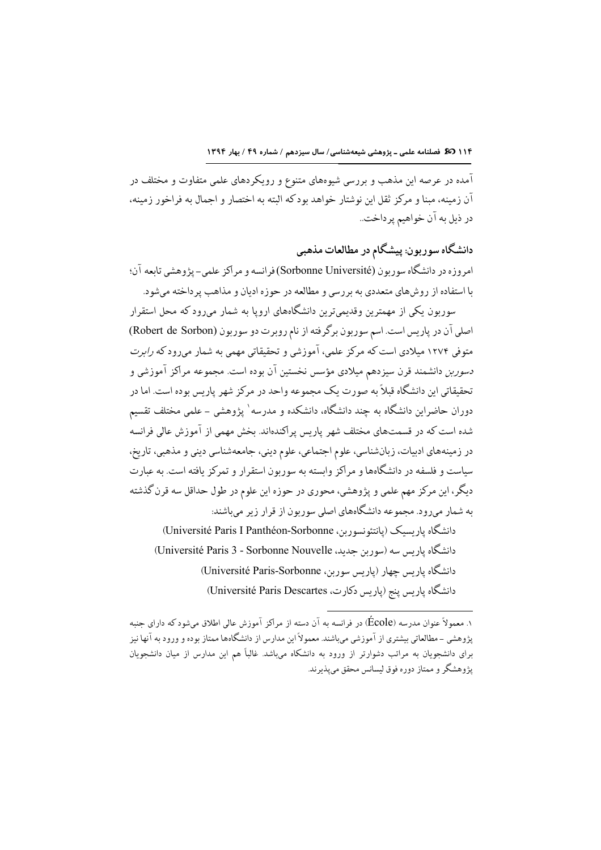.<br>آمده در عرصه این مذهب و بررسی شیوههای متنوع و رویکردهای علمی متفاوت و مختلف در آن زمینه، مینا و مرکز ثقل این نوشتار خواهد بودکه البته به اختصار و احمال به فراخور زمینه، در ذيل به آن خواهيم پرداخت..

دانشگاه سوربون: پیشگام در مطالعات مذهبی امروزه در دانشگاه سوربون (Sorbonne Université)فرانسه و مراکز علمی-پژوهشی تابعه آن؛ با استفاده از روشهاي متعددي به بررسي و مطالعه در حوزه اديان و مذاهب ير داخته مي شود.

سوربون یکی از مهمترین وقدیمیترین دانشگاههای اروپا به شمار میرود که محل استقرار اصلی آن در پاریس است. اسم سوربون برگرفته از نام روبرت دو سوربون (Robert de Sorbon) متوفی ۱۲۷۴ میلادی است که مرکز علمی، آموزشی و تحقیقاتی مهمی به شمار میررود که *رابرت دسوربن* دانشمند قرن سیزدهم میلادی مؤسس نخستین آن بوده است. مجموعه مراکز آموزشی و تحقيقاتي اين دانشگاه قبلاً به صورت يک مجموعه واحد در مرکز شهر پاريس بوده است. اما در دوران حاضراین دانشگاه به چند دانشگاه، دانشکده و مدرسه` پژوهشی – علمی مختلف تقسیم شده است که در قسمتهای مختلف شهر پاریس پراکندهاند. بخش مهمی از آموزش عالی فرانسه در زمینههای ادبیات، زبانشناسی، علوم اجتماعی، علوم دینی، جامعهشناسی دینی و مذهبی، تاریخ، سیاست و فلسفه در دانشگاهها و مراکز وابسته به سوربون استقرار و تمرکز یافته است. به عبارت دیگر، این مرکز مهم علمی و پژوهشی، محوری در حوزه این علوم در طول حداقل سه قرن گذشته به شمار میرود. مجموعه دانشگاههای اصلی سوربون از قرار زیر میباشند:

دانشگاه پاریسیک (پانتئونسوربن، Université Paris I Panthéon-Sorbonne) دانشگاه پاریس سه (سوربن جدید، Université Paris 3 - Sorbonne Nouvelle) دانشگاه پاریس چهار (پاریس سوربن، Université Paris-Sorbonne) دانشگاه پاریس پنج (پاریس دکارت، Université Paris Descartes)

۱. معمولاً عنوان مدرسه (École) در فرانسه به آن دسته از مراکز آموزش عالی اطلاق میشود که دارای جنبه پژوهشي –مطالعاتي بيشتري از آموزشي ميباشند. معمولاً اين مدارس از دانشگاهها ممتاز بوده و ورود به آنها نيز برای دانشجویان به مراتب دشوارتر از ورود به دانشکاه میباشد. غالباً هم این مدارس از میان دانشجویان پژوهشگر و ممتاز دوره فوق لیسانس محقق میپذیرند.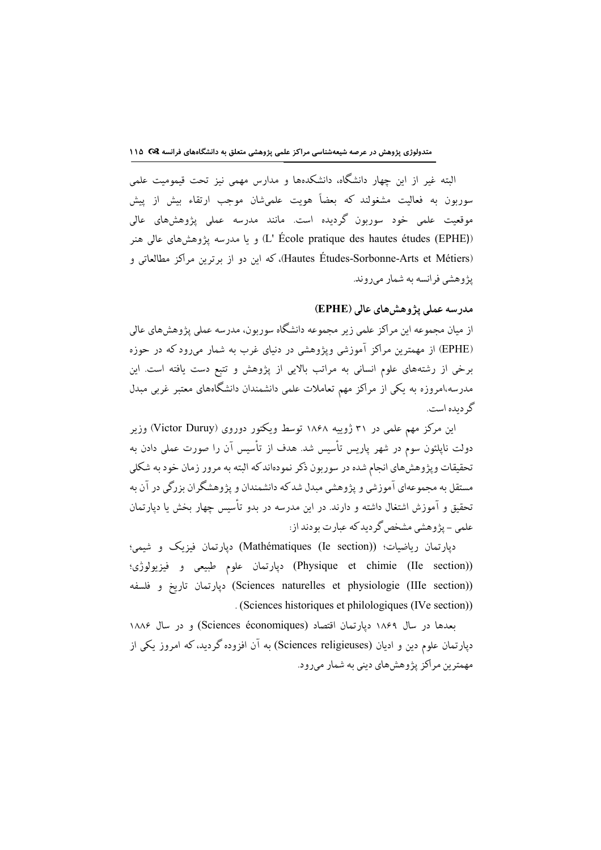البته غیر از این چهار دانشگاه، دانشکدهها و مدارس مهمی نیز تحت قیمومیت علمی .<br>سوربون به فعالیت مشغولند که بعضاً هویت علمیشان موجب ارتقاء بیش از پیش .<br>موقعیت علمی خود سوربون گردیده است. مانند مدرسه عملی یژوهشهای عالی (L' École pratique des hautes études (EPHE)) و يا مدرسه يژوهش هاي عالمي هنر (Hautes Études-Sorbonne-Arts et Métiers)، كه اين دو از برترين مراكز مطالعاتي و يژوهشي فرانسه به شمار مي روند.

#### مدرسه عملی پژوهش های عالی (EPHE)

از میان مجموعه این مراکز علمی زیر مجموعه دانشگاه سوربون، مدرسه عملی پژوهشهای عالی (EPHE) از مهمترین مراکز آموزشی ویژوهشی در دنیای غرب به شمار میرود که در حوزه برخی از رشتههای علوم انسانی به مراتب بالایی از پژوهش و تتبع دست یافته است. این مدرسه،امروزه به یکی از مراکز مهم تعاملات علمی دانشمندان دانشگاههای معتبر غربی مبدل گر دیده است.

این مرکز مهم علمی در ۳۱ ژوییه ۱۸۶۸ توسط ویکتور دوروی (Victor Duruy) وزیر دولت نایلئون سوم در شهر یاریس تأسیس شد. هدف از تأسیس آن را صورت عملی دادن به تحقیقات وپژوهشهای انجام شده در سوربون ذکر نمودهاند که البته به مرور زمان خود به شکلی مستقل به مجموعهای آموزشی و پژوهشی مبدل شدکه دانشمندان و پژوهشگران بزرگی در آن به تحقیق و آموزش اشتغال داشته و دارند. در این مدرسه در بدو تأسیس چهار بخش یا دیارتمان علمی – یژوهشی مشخص گردید که عبارت بودند از:

دیارتمان ریاضیات؛ (Mathématiques (Ie section)) دیارتمان فیزیک و شیمی؛ (Physique et chimie (IIe section)) دپارتمان علوم طبيعي و فيزيولوژي؛ (Sciences naturelles et physiologie (IIIe section)) ديارتمان تاريخ و فلسفه . (Sciences historiques et philologiques (IVe section))

بعدها در سال ۱۸۶۹ دیارتمان اقتصاد (Sciences économiques) و در سال ۱۸۸۶ دپارتمان علوم دین و ادیان (Sciences religieuses) به آن افزوده گردید، که امروز یکی از مهمترین مراکز پژوهشهای دینی به شمار میرود.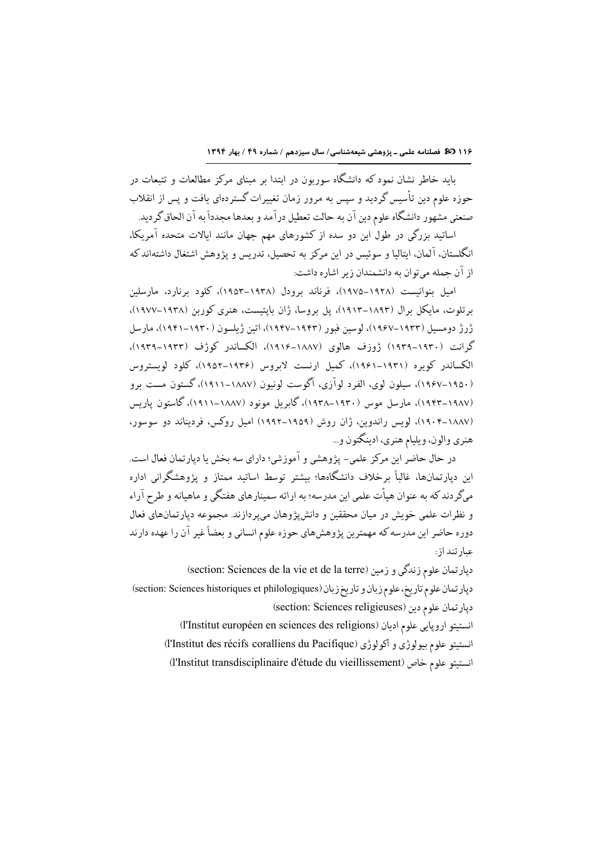۱۱۶ **30 ن**صلنامه علمی ـ پژوهشی شیعهشناسی/ سال سیزدهم / شماره ۴۹ / بهار ۱۳۹۴

باید خاطر نشان نمود که دانشگاه سوربون در ابتدا بر مبنای مرکز مطالعات و تتبعات در حوزه علوم دین تأسیس گردید و سیس به مرور زمان تغییرات گستردهای یافت و پس از انقلاب صنعتي مشهور دانشگاه علوم دين آن به حالت تعطيل درآمد و بعدها مجدداً به آن الحاق گرديد.

اساتید بزرگی در طول این دو سده از کشورهای مهم جهان مانند ایالات متحده آمریکا، انگلستان، آلمان، ايتاليا و سوئيس در اين مركز به تحصيل، تدريس و يژوهش اشتغال داشتهاند كه از آن جمله ميتوان به دانشمندان زير اشاره داشت:

امیل بنوانیست (۱۹۲۸–۱۹۷۵)، فرناند برودل (۱۹۳۸–۱۹۵۳)، کلود برنارد، مارسلین برتلوت، مایکل برال (۱۸۹۳–۱۹۱۳)، پل بروسا، ژان بایتیست، هنری کوربن (۱۹۳۸–۱۹۷۷)، ژرژ دومسیل (۱۹۳۳–۱۹۶۷)، لوسین فیور (۱۹۴۲–۱۹۴۷)، اتین ژیلسون (۱۹۳۰–۱۹۴۱)، مارسل گرانت (۱۹۳۰–۱۹۳۹) ژوزف هالوی (۱۸۸۷–۱۹۱۶)، الکساندر کوژف (۱۹۳۲–۱۹۳۹)، الکساندر کویره (۱۹۳۱–۱۹۶۱)، کمیل ارنست لابروس (۱۹۳۶–۱۹۵۲)، کلود لویستروس (۱۹۵۰–۱۹۶۷)، سیلون لوی، الفرد لوآزی، آگوست لونیون (۱۸۸۷–۱۹۱۱)، گستون مست برو (۱۹۸۷–۱۹۴۲)، مارسل موس (۱۹۳۰–۱۹۳۸)، گابریل مونود (۱۸۸۷–۱۹۱۱)، گاستون پاریس (۱۸۸۷–۱۹۰۴)، لویس راندوین، ژان روش (۱۹۵۹–۱۹۹۲) امیل روکس، فردیناند دو سوسور، هنري والون، و بليام هنري، ادينگتون و ...

در حال حاضر این مرکز علمی– پژوهشی و آموزشی؛ دارای سه بخش یا دپارتمان فعال است. این دپارتمانها، غالباً برخلاف دانشگاهها؛ بیشتر توسط اساتید ممتاز و پژوهشگرانی اداره میگر دند که به عنوان هیأت علمی این مدرسه؛ به ارائه سمینارهای هفتگی و ماهیانه و طرح آراء و نظرات علمی خویش در میان محققین و دانش پژوهان میپردازند. مجموعه دیارتمانهای فعال دوره حاضر این مدرسه که مهمترین پژوهشهای حوزه علوم انسانی و بعضاً غیر آن را عهده دارند عبار تند از :

(section: Sciences de la vie et de la terre) ديارتمان علوم زندگي و زمين دپارتمان علوم تاريخ، علوم زبان و تاريخ زبان (section: Sciences historiques et philologiques) (section: Sciences religieuses) دپارتمان علوم دين

انستيتو ارويايي علوم اديان (l'Institut européen en sciences des religions) انستيتو علوم بيولوژي و اكولوژي (l'Institut des récifs coralliens du Pacifique) (l'Institut transdisciplinaire d'étude du vieillissement) انستيتو علوم خاص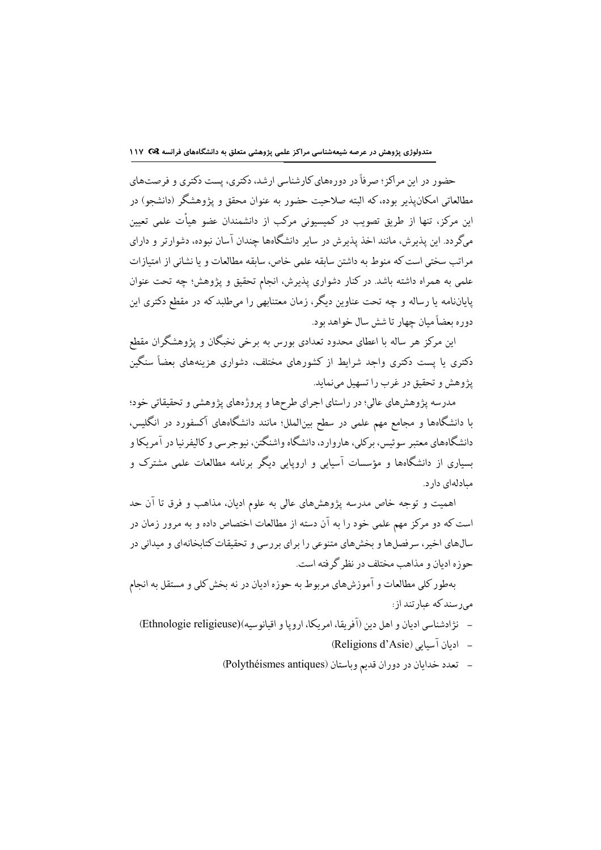حضور در این مراکز ؛ صرفاً در دورههای کارشناسی ارشد، دکتری، پست دکتری و فرصتهای مطالعاتی امکانپذیر بوده،که البته صلاحیت حضور به عنوان محقق و پژوهشگر (دانشجو) در این مرکز، تنها از طریق تصویب در کمیسیونی مرکب از دانشمندان عضو هیأت علمی تعیین میگردد. این پذیرش، مانند اخذ پذیرش در سایر دانشگاهها چندان آسان نبوده، دشوارتر و دارای مراتب سختی است که منوط به داشتن سابقه علمی خاص، سابقه مطالعات و یا نشانی از امتیازات علمي به همراه داشته باشد. در كنار دشواري پذيرش، انجام تحقيق و پژوهش؛ چه تحت عنوان پایاننامه یا رساله و چه تحت عناوین دیگر، زمان معتنابهی را میطلبد که در مقطع دکتری این دوره بعضاً ميان چهار تا شش سال خواهد بود.

این مرکز هر ساله با اعطای محدود تعدادی بورس به برخی نخبگان و پژوهشگران مقطع دکتری یا پست دکتری واجد شرایط از کشورهای مختلف، دشواری هزینههای بعضاً سنگین يژوهش و تحقيق در غرب را تسهيل مي نمايد.

مدرسه پژوهشهای عالی؛ در راستای اجرای طرحها و پروژههای پژوهشی و تحقیقاتی خود؛ با دانشگاهها و مجامع مهم علمی در سطح بینالملل؛ مانند دانشگاههای آکسفورد در انگلیس، دانشگاههای معتبر سوئیس، برکلی، هاروارد، دانشگاه واشنگتن، نیوجرسی و کالیفرنیا در آمریکا و بسیاری از دانشگاهها و مؤسسات آسیایی و اروپایی دیگر برنامه مطالعات علمی مشترک و مبادلهای دار د.

اهمیت و توجه خاص مدرسه پژوهشهای عالی به علوم ادیان، مذاهب و فرق تا آن حد است که دو مرکز مهم علمی خود را به آن دسته از مطالعات اختصاص داده و به مرور زمان در سالهای اخیر ، سر فصلها و پخشهای متنوعی را بر ای بر رسی و تحقیقات کتابخانهای و میدانی در جوزه ادبان و مذاهب مختلف در نظر گرفته است.

بهطور كلي مطالعات و آموزشهاي مربوط به حوزه اديان در نه بخش كلي و مستقل به انجام مررسند که عبارتند از:

- نژادشناسی ادمان و اهل دین (آفریقا، امریکا، اروپا و اقبانوسیه)(Ethnologie religieuse)
	- ادبان آسیایی (Religions d'Asie)
	- تعدد خدايان در دوران قديم وباستان (Polythéismes antiques)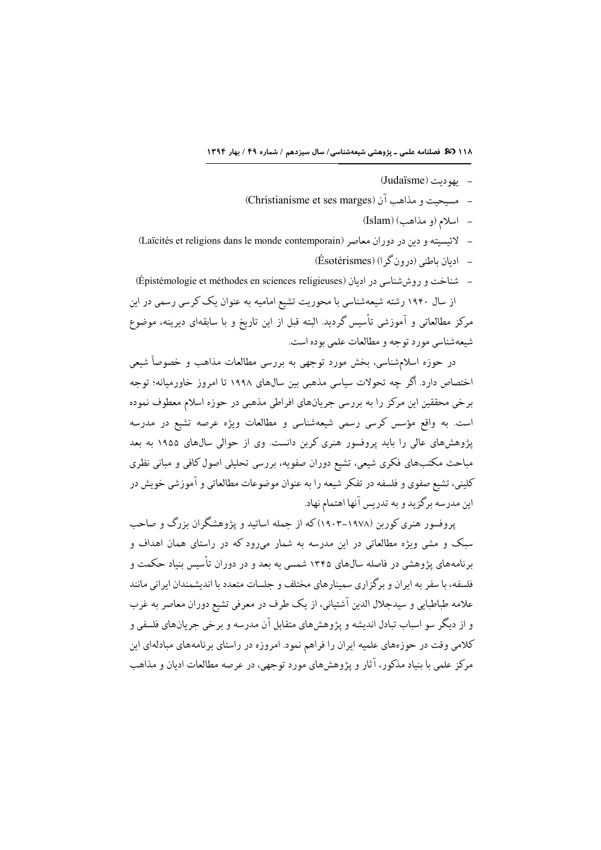- بهودیت (Judaïsme)
- مستحيت و مذاهب آن (Christianisme et ses marges)
	- اسلام (و مذاهب) (Islam)
- لائتسته و دین در دوران معاصر (Laïcités et religions dans le monde contemporain)
	- $\hat{\text{E}}$ ادیان پاطنب (درون گر) (Esotérismes)
- شناخت و روش شناسی در ادیان (Épistémologie et méthodes en sciences religieuses) از سال ۱۹۴۰ رشته شیعهشناسی با محوریت تشیع امامیه به عنوان یک کرسی رسمی در این مرکز مطالعاتی و آموزشی تأسیس گردید. البته قبل از این تاریخ و با سابقهای دیرینه، موضوع شیعهشناسی مورد توجه و مطالعات علمی بوده است.

در حوزه اسلامشناسی، بخش مورد توجهی به بررسی مطالعات مذاهب و خصوصاً شیعی اختصاص دارد. أگر چه تحولات سیاسی مذهبی بین سال۵ای ۱۹۹۸ تا امروز خاورمیانه؛ توجه برخی محققین این مرکز را به بررسی جریانهای افراطی مذهبی در حوزه اسلام معطوف نموده است. به واقع مؤسس کرسی رسمی شیعهشناسی و مطالعات ویژه عرصه تشیع در مدرسه پژوهشهای عالی را باید پروفسور هنری کربن دانست. وی از حوالی سالهای ۱۹۵۵ به بعد مباحث مکتبهای فکری شیعی، تشیع دوران صفویه، بررسی تحلیلی اصول کافی و مبانی نظری کلینی، تشیع صفوی و فلسفه در تفکر شیعه را به عنوان موضوعات مطالعاتی و آموزشی خویش در این مدرسه برگزید و به تدریس آنها اهتمام نهاد.

پروفسور هنری کوربن (۱۹۷۸–۱۹۰۳)که از جمله اساتید و پژوهشگران بزرگ و صاحب سبک و مشی ویژه مطالعاتی در این مدرسه به شمار می رود که در راستای همان اهداف و برنامههای پژوهشی در فاصله سالهای ۱۳۴۵ شمسی به بعد و در دوران تأسیس بنیاد حکمت و فلسفه، با سفر به ایران و برگزاری سمینارهای مختلف و جلسات متعدد با اندیشمندان ایرانی مانند علامه طباطبايي و سيدجلال الدين آشتياني، از يک طرف در معرفي تشيع دوران معاصر به غرب و از دیگر سو اسباب تبادل اندیشه و پژوهشهای متقابل آن مدرسه و برخی جریانهای فلسفی و کلامی وقت در حوزههای علمیه ایران را فراهم نمود. امروزه در راستای برنامههای مبادلهای این مرکز علمی با بنیاد مذکور، آثار و پژوهش های مورد توجهی، در عرصه مطالعات ادبان و مذاهب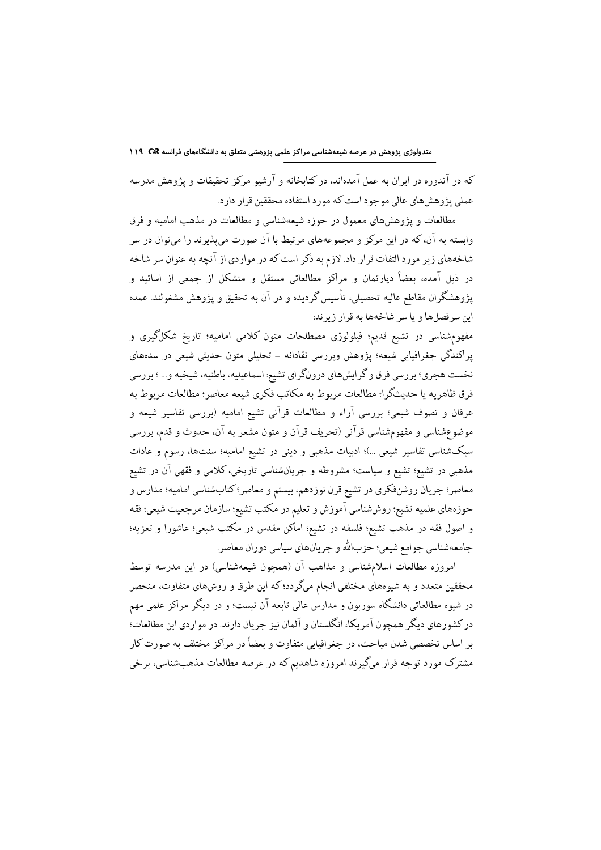متدولوژی پژوهش در عرصه شیعهشناسی مراکز علمی پژوهشی متعلق به دانشگاههای فرانسه Q& ١١٩

که در آندوره در ایران به عمل آمدهاند، در کتابخانه و آرشیو مرکز تحقیقات و پژوهش مدرسه عملی پژوهشهای عالی موجود است که مورد استفاده محققین قرار دارد.

مطالعات و پژوهشهای معمول در حوزه شیعهشناسی و مطالعات در مذهب امامیه و فرق وابسته به آن، که در این مرکز و مجموعههای مرتبط با آن صورت میپذیرند را میتوان در سر شاخههای زیر مورد التفات قرار داد. لازم به ذکر است که در مواردی از آنچه به عنوان سر شاخه در ذیل آمده، بعضاً دپارتمان و مراکز مطالعاتی مستقل و متشکل از جمعی از اساتید و یژوهشگران مقاطع عالیه تحصیلی، تأسیس گردیده و در آن به تحقیق و یژوهش مشغولند. عمده این سر فصلها و یا سر شاخهها به قرار زیر ند:

مفهومشناسی در تشیع قدیم؛ فیلولوژی مصطلحات متون کلامی امامیه؛ تاریخ شکلگیری و پراکندگی جغرافیایی شیعه؛ پژوهش وبررسی نقادانه – تحلیلی متون حدیثی شیعی در سدههای نخست هجري؛ بررسي فرق و گرايشهاي درونگراي تشيع: اسماعيليه، باطنيه، شيخيه و... ؛ بررسي فرق ظاهريه يا حديثگرا؛ مطالعات مربوط به مكاتب فكرى شيعه معاصر؛ مطالعات مربوط به عرفان و تصوف شیعی؛ بررسی آراء و مطالعات قرآنی تشیع امامیه (بررسی تفاسیر شیعه و موضوعشناسی و مفهومشناسی قرآنی (تحریف قرآن و متون مشعر به آن، حدوث و قدم، بررسی سبکشناسی تفاسیر شیعی …)؛ ادبیات مذهبی و دینی در تشیع امامیه؛ سنتها، رسوم و عادات مذهبی در تشیع؛ تشیع و سیاست؛ مشروطه و جریانشناسی تاریخی، کلامی و فقهی آن در تشیع معاصر؛ جریان روشنفکری در تشیع قرن نوزدهم، بیستم و معاصر؛ کتابشناسی امامیه؛ مدارس و حوزههاي علميه تشيع؛ روششناسي آموزش و تعليم در مكتب تشيع؛ سازمان مرجعيت شيعي؛ فقه و اصول فقه در مذهب تشيع؛ فلسفه در تشيع؛ اماكن مقدس در مكتب شيعي؛ عاشورا و تعزيه؛ جامعهشناسي جوامع شيعي؛ حزبالله و جريانهاي سياسي دوران معاصر.

امروزه مطالعات اسلامشناسی و مذاهب آن (همچون شیعهشناسی) در این مدرسه توسط محققین متعدد و به شیوههای مختلفی انجام میگردد؛ که این طرق و روشهای متفاوت، منحصر در شیوه مطالعاتی دانشگاه سوربون و مدارس عالی تابعه آن نیست؛ و در دیگر مراکز علمی مهم در کشورهای دیگر همچون آمریکا، انگلستان و آلمان نیز جریان دارند. در مواردی این مطالعات؛ بر اساس تخصصی شدن مباحث، در جغرافیایی متفاوت و بعضاً در مراکز مختلف به صورت کار مشترک مورد توجه قرار میگیرند امروزه شاهدیم که در عرصه مطالعات مذهبشناسی، برخی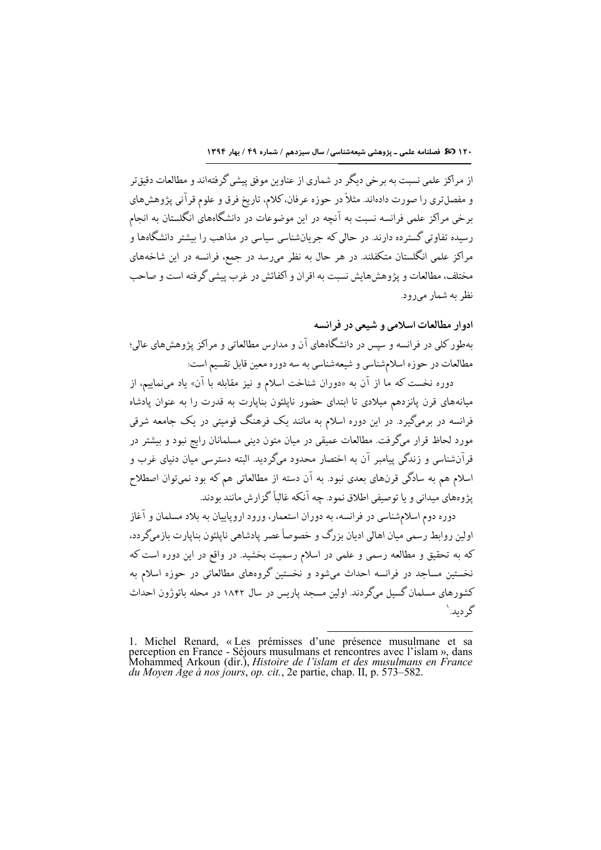١٢٠ 35 فصلنامه علمي ـ پژوهشي شيعهشناسي/ سال سيزدهم / شماره ٤٩ / بهار ١٣٩٤

از مراکز علمی نسبت به برخی دیگر در شماری از عناوین موفق پیشی گرفتهاند و مطالعات دقیق تر و مفصلتري را صورت دادهاند. مثلاً در حوزه عرفان، كلام، تاريخ فرق و علوم قرآني پژوهشهاي برخی مراکز علمی فرانسه نسبت به آنچه در این موضوعات در دانشگاههای انگلستان به انجام رسیده تفاوتی گستر ده دارند. در حالی که حریانشناسی سیاسی در مذاهب را بیشتر دانشگاهها و مراکز علمی انگلستان متکفلند. در هر حال به نظر میرسد در جمع، فرانسه در این شاخههای مختلف، مطالعات و پژوهش هایش نسبت به اقران و اکفائش در غرب پیشی گرفته است و صاحب نظر به شمار ميرود.

## ادوار مطالعات اسلامی و شیعی در فرانسه

بهطور کلی در فرانسه و سپس در دانشگاههای آن و مدارس مطالعاتی و مراکز پژوهشهای عالی؛ مطالعات در حوزه اسلامشناسي و شيعهشناسي به سه دوره معين قابل تقسيم است:

دوره نخست که ما از آن به «دوران شناخت اسلام و نیز مقابله با آن» یاد مینماییم، از میانههای قرن یانزدهم میلادی تا ابتدای حضور ناپلئون بناپارت به قدرت را به عنوان یادشاه فرانسه در برمیگیرد. در این دوره اسلام به مانند یک فرهنگ قومیتی در یک جامعه شرقی مورد لحاظ قرار میگرفت. مطالعات عمیقی در میان متون دینی مسلمانان رایج نبود و بیشتر در قرآنشناسی و زندگی پیامبر آن به اختصار محدود میگردید. البته دسترسی میان دنیای غرب و اسلام هم به سادگی قرنهای بعدی نبود. به آن دسته از مطالعاتی هم که بود نمیتوان اصطلاح يژوههاي ميداني و يا توصيفي اطلاق نمود. چه آنكه غالباً گزارش مانند بودند.

دوره دوم اسلامشناسی در فرانسه، به دوران استعمار، ورود اروپاییان به بلاد مسلمان و آغاز اولین روابط رسمی میان اهالی ادیان بزرگ و خصوصاً عصر یادشاهی ناپلئون بناپارت بازمیگردد، که به تحقیق و مطالعه رسمی و علمی در اسلام رسمیت بخشید. در واقع در این دوره است که نخستین مساجد در فرانسه احداث میشود و نخستین گروههای مطالعاتی در حوزه اسلام به کشورهای مسلمان گسیل میگردند. اولین مسجد پاریس در سال ۱۸۴۲ در محله بائوژون احداث گر دىد. `

<sup>1.</sup> Michel Renard, « Les prémisses d'une présence musulmane et sa perception en France - Séjours musulmans et rencontres avec l'islam », dans Mohammed Arkoun (dir.), *Histoire de l'islam et des musulmans en France du Moyen*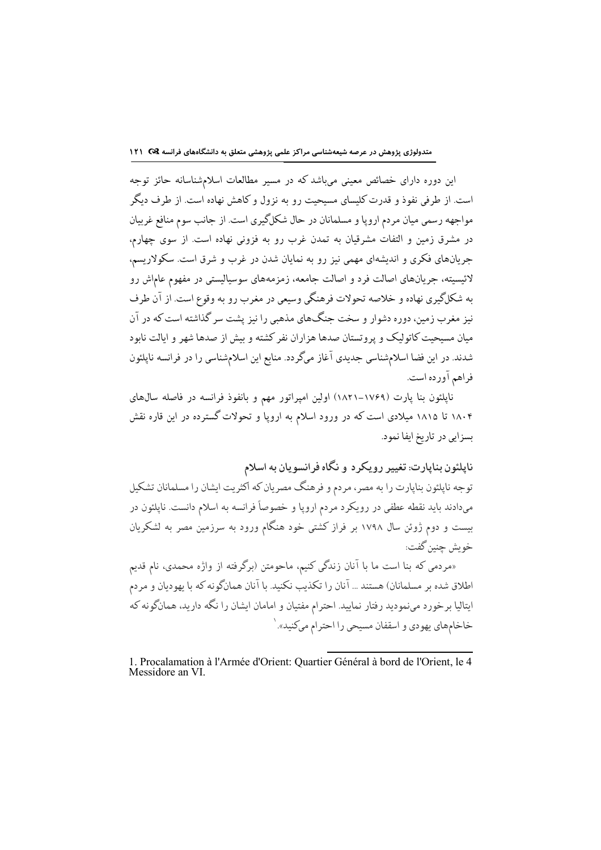این دوره دارای خصائص معینی میباشد که در مسیر مطالعات اسلامشناسانه حائز توجه است. از طرفی نفوذ و قدرت کلیسای مسیحیت رو به نزول و کاهش نهاده است. از طرف دیگر مواجهه رسمي ميان مردم ارويا و مسلمانان در حال شكلگيري است. از جانب سوم منافع غربيان در مشرق زمین و التفات مشرقیان به تمدن غرب رو به فزونی نهاده است. از سوی چهارم، جریانهای فکری و اندیشهای مهمی نیز رو به نمایان شدن در غرب و شرق است. سکولاریسم، لائیسیته، جریانهای اصالت فرد و اصالت جامعه، زمزمههای سوسیالیستی در مفهوم عاماش رو به شکلگیری نهاده و خلاصه تحولات فرهنگی وسیعی در مغرب رو به وقوع است. از آن طرف نیز مغرب زمین، دوره دشوار و سخت جنگهای مذهبی را نیز پشت سر گذاشته است که در آن میان مسیحیت کاتولیک و پروتستان صدها هزاران نفر کشته و بیش از صدها شهر و ایالت نابود شدند. در این فضا اسلامشناسی جدیدی آغاز میگردد. منابع این اسلامشناسی را در فرانسه ناپلئون فراهم آورده است.

.<br>نایلئون بنا یارت (۱۷۶۹–۱۸۲۱) اولین امیراتور مهم و بانفوذ فرانسه در فاصله سال@ی ۱۸۰۴ تا ۱۸۱۵ میلادی است که در ورود اسلام به اروپا و تحولات گسترده در این قاره نقش بسزایی در تاریخ ایفا نمود.

## ناپلئون بناپارت: تغییر رویکرد و نگاه فرانسویان به اسلام

توجه ناپلئون بناپارت را به مصر، مردم و فرهنگ مصریان که اکثریت ایشان را مسلمانان تشکیل میدادند باید نقطه عطفی در رویکرد مردم اروپا و خصوصاً فرانسه به اسلام دانست. نایلئون در بیست و دوم ژوئن سال ۱۷۹۸ بر فراز کشتی خود هنگام ورود به سرزمین مصر به لشکریان خو ىش حنين گفت:

«مردمی که بنا است ما با آنان زندگی کنیم، ماحومتن (برگرفته از واژه محمدی، نام قدیم اطلاق شده بر مسلمانان) هستند ... آنان را تكذيب نكنيد. با آنان همانگونه كه با يهوديان و مردم ایتالیا برخورد مینمودید رفتار نمایید. احترام مفتیان و امامان ایشان را نگه دارید، همانگونه که خاخامهای یهودی و اسقفان مسیحی را احترام میکنید».<sup>\</sup>

l

<sup>1.</sup> Procalamation à l'Armée d'Orient: Quartier Général à bord de l'Orient, le 4 Messidore an VI.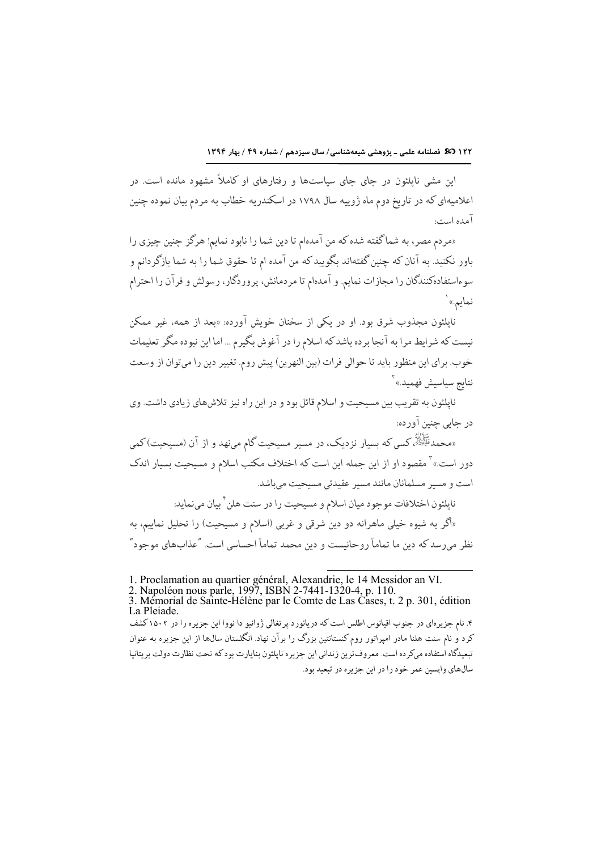این مشی ناپلئون در جای جای سیاستها و رفتارهای او کاملاً مشهود مانده است. در اعلامیهای که در تاریخ دوم ماه ژوییه سال ۱۷۹۸ در اسکندریه خطاب به مردم بیان نموده چنین آمده است:

«مردم مصر، به شماگفته شده كه من آمدهام تا دين شما را نابود نمايم! هرگز چنين چيزي را باور نكنيد. به آنان كه چنين گفتهاند بگوييد كه من آمده ام تا حقوق شما را به شما بازگر دانم و سوءاستفادهکنندگان را مجازات نمایم. و آمدهام تا مردمانش، پروردگار، رسولش و قرآن را احترام نمايم.» ٰ

ناپلئون مجذوب شرق بود. او در یکی از سخنان خویش آورده: «بعد از همه، غیر ممکن نیست که شرایط مرا به آنجا برده باشد که اسلام را در آغوش بگیرم … اما این نبوده مگر تعلیمات خوب. براي اين منظور بايد تا حوالي فرات (بين النهرين) پيش روم. تغيير دين را ميتوان از وسعت نتايج سياسيش فهميد.»<sup>۲</sup>

نايلئون به تقريب بين مسيحيت و اسلام قائل بو د و در اين راه نيز تلاش هاي زيادي داشت. وي در جايي چنين اورده:

ڪَأَنَّةُ کسي که بسيار نزديک، در مسير مسيحيت گام مينهد و از آن (مسيحيت)کمي » دور است.»<sup>۲</sup> مقصود او از این جمله این است که اختلاف مکتب اسلام و مسیحیت بسیار اندک است و مسیر مسلمانان مانند مسیر عقیدتی مسیحیت می باشد.

ناپلئون اختلافات موجود ميان اسلام و مسيحيت را در سنت هلن ٔ بيان مىنمايد:

«اگر به شیوه خیلی ماهرانه دو دین شرقی و غربی (اسلام و مسیحیت) را تحلیل نماییم، به نظر میرسد که دین ما تماماً روحانیست و دین محمد تماماً احساسی است. "عذابهای موجود"

1. Proclamation au quartier général, Alexandrie, le 14 Messidor an VI.

۴. نام جزیرهای در جنوب اقیانوس اطلس است که دریانورد پرتغالی ژوانیو دا نووا این جزیره را در ۱۵۰۲ کشف کرد و نام سنت هلنا مادر امیراتور روم کنستانتین بزرگ را برآن نهاد. انگلستان سال@ا از این جزیره به عنوان تبعيدگاه استفاده ميكر ده است. معروف ترين زنداني اين جزير ه نايلئون بنايارت بودكه تحت نظارت دولت بريتانيا سالهای وایسین عمر خود را در این جزیره در تبعید بود.

<sup>2.</sup> Napoléon nous parle, 1997, ISBN 2-7441-1320-4, p. 110.

<sup>3.</sup> Mémorial de Sainte-Hélène par le Comte de Las Cases, t. 2 p. 301, édition La Pleiade.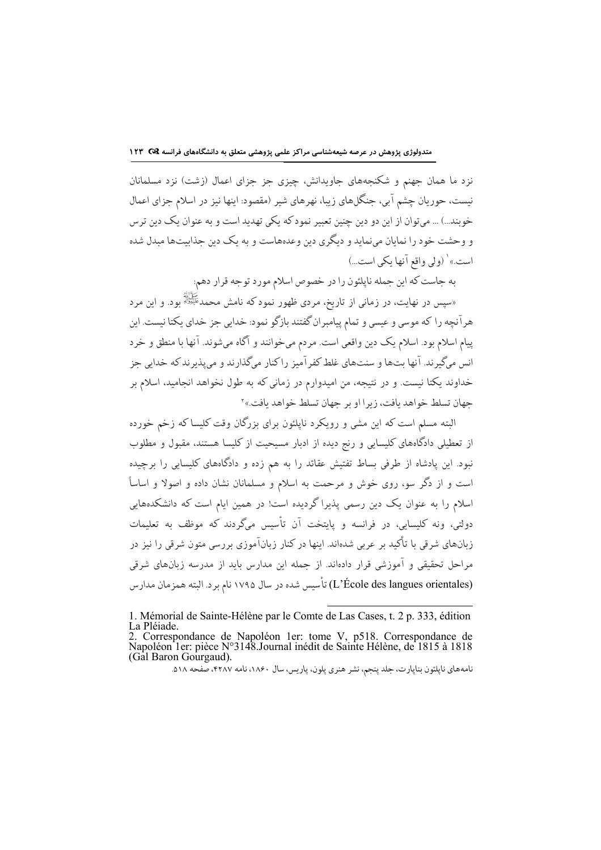نزد ما همان جهنم و شکنجههای جاویدانش، چیزی جز جزای اعمال (زشت) نزد مسلمانان نیست، حوریان چشم آبی، جنگلهای زیبا، نهرهای شیر (مقصود: اینها نیز در اسلام جزای اعمال خوبند...) ... می توان از این دو دین چنین تعبیر نمود که یکی تهدید است و به عنوان یک دین ترس و وحشت خود را نمایان مینماید و دیگری دین وعدههاست و به یک دین جذابیتها مبدل شده است.» ٰ (ولي واقع آنها يكي است...)

به جاست كه اين جمله ناپلئون را در خصوص اسلام مورد توجه قرار دهم:

الله عَمَّانِيَّةِ .<br>دسپس در نهایت، در زمانی از تاریخ، مردی ظهور نمود که نامش محمدﷺ بود. و این مرد» هرآنچه را که موسی و عیسی و تمام پیامبران گفتند بازگو نمود: خدایی جز خدای یکتا نیست. این پیام اسلام بود. اسلام یک دین واقعی است. مردم میخوانند و آگاه میشوند. آنها با منطق و خرد انس میگیرند. آنها بتها و سنتهای غلط کفرآمیز راکنار میگذارند و میپذیرند که خدایی جز خداوند یکتا نیست. و در نتیجه، من امیدوارم در زمانی که به طول نخواهد انجامید، اسلام بر حهان تسلط خواهد بافت، زيرا او بر حهان تسلط خواهد بافت.»<sup>۲</sup>

البته مسلم است که این مشی و رویکرد ناپلئون برای بزرگان وقت کلیسا که زخم خورده از تعطیلی دادگاههای کلیسایی و رنج دیده از ادبار مسیحیت از کلیسا هستند، مقبول و مطلوب .<br>نبود. این پادشاه از طرفی بساط تفتیش عقائد را به هم زده و دادگاههای کلیسایی را برچیده است و از دگر سو، روی خوش و مرحمت به اسلام و مسلمانان نشان داده و اصولا و اساساً اسلام را به عنوان یک دین رسمی پذیرا گردیده است! در همین ایام است که دانشکدههایی دولتی، ونه کلیسایی، در فرانسه و پایتخت آن تأسیس میگردند که موظف به تعلیمات زبانهای شرقی با تأکید بر عربی شدهاند. اینها در کنار زبانآموزی بررسی متون شرقی را نیز در مراحل تحقیقی و آموزشی قرار دادهاند. از جمله این مدارس باید از مدرسه زبانهای شرقی (L'École des langues orientales) تأسيس شده در سال ١٧٩۵ نام برد. البته همزمان مدارس

<sup>1.</sup> Mémorial de Sainte-Hélène par le Comte de Las Cases, t. 2 p. 333, édition La Pléiade.

<sup>2.</sup> Correspondance de Napoléon 1er: tome V, p518. Correspondance de Napoléon 1er: pièce N°3148. Journal inédit de Sainte Hélène, de 1815 à 1818 (Gal Baron Gourgaud).

نامههای ناپلئون بناپارت، جلد پنجم، نشر هنری پلون، پاریس، سال ۱۸۶۰، نامه ۴۲۸۷، صفحه ۵۱۸.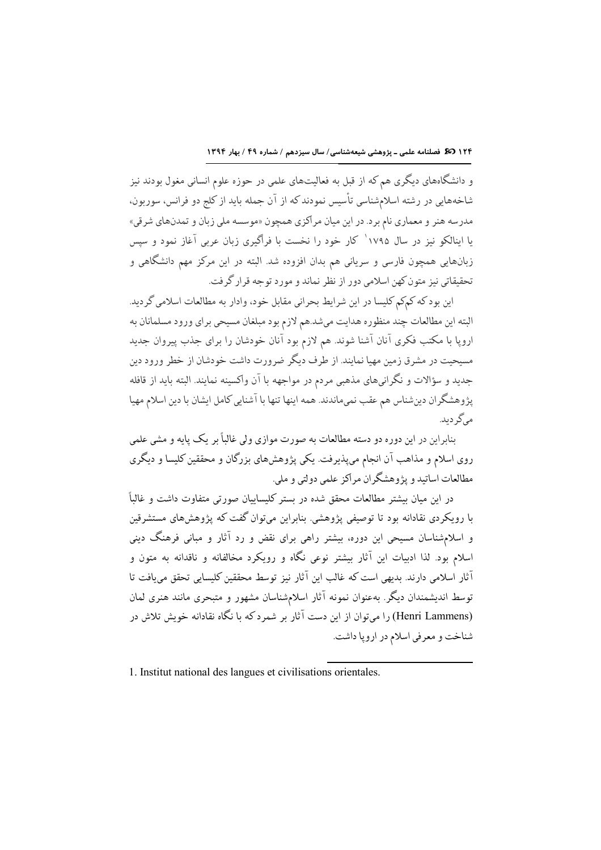و دانشگاههای دیگری هم که از قبل به فعالیتهای علمی در حوزه علوم انسانی مغول بودند نیز شاخههایی در رشته اسلامشناسی تأسیس نمودند که از آن جمله باید از کلج دو فرانس، سوربون، مدرسه هنر و معماري نام برد. در اين ميان مراكزي همچون «موسسه ملي زبان و تمدنهاي شرقي» یا اینالکو نیز در سال ۱۷۹۵` کار خود را نخست با فراگیری زبان عربی آغاز نمود و سپس زبانهایی همچون فارسی و سریانی هم بدان افزوده شد. البته در این مرکز مهم دانشگاهی و تحقیقاتی نیز متون کهن اسلامی دور از نظر نماند و مورد توجه قرار گرفت.

اين بود كه كمكم كليسا در اين شرايط بحراني مقابل خود، وادار به مطالعات اسلامي گرديد. البته اين مطالعات چند منظوره هدايت مىشد.هم لازم بود مبلغان مسيحي براي ورود مسلمانان به اروپا با مکتب فکری آنان آشنا شوند. هم لازم بود آنان خودشان را برای جذب پیروان جدید مسیحیت در مشرق زمین مهیا نمایند. از طرف دیگر ضرورت داشت خودشان از خطر ورود دین جدید و سؤالات و نگرانیهای مذهبی مردم در مواجهه با آن واکسینه نمایند. البته باید از قافله پژوهشگران دینشناس هم عقب نمیماندند. همه اینها تنها با آشنایی کامل ایشان با دین اسلام مهیا مرگ دىد.

بنابراین در این دوره دو دسته مطالعات به صورت موازی ولی غالباً بر یک یایه و مشی علمی روی اسلام و مذاهب آن انجام میپذیرفت. یکی پژوهشهای بزرگان و محققین کلیسا و دیگری مطالعات اساتيد و پژوهشگران مراكز علمي دولتي و ملي.

در این میان بیشتر مطالعات محقق شده در بستر کلیساییان صورتی متفاوت داشت و غالباً با رویکردی نقادانه بود تا توصیفی پژوهشی. بنابراین میتوان گفت که پژوهشهای مستشرقین و اسلامشناسان مسیحی این دوره، بیشتر راهی برای نقض و رد آثار و مبانی فرهنگ دینی اسلام بود. لذا ادبیات این آثار بیشتر نوعی نگاه و رویکرد مخالفانه و ناقدانه به متون و آثار اسلامی دارند. بدیهی است که غالب این آثار نیز توسط محققین کلیسایی تحقق می،افت تا توسط اندیشمندان دیگر. بهعنوان نمونه آثار اسلامشناسان مشهور و متبحری مانند هنری لمان (Henri Lammens) را میتوان از این دست آثار بر شمردکه با نگاه نقادانه خویش تلاش در شناخت و معرفي اسلام در ارويا داشت.

1. Institut national des langues et civilisations orientales.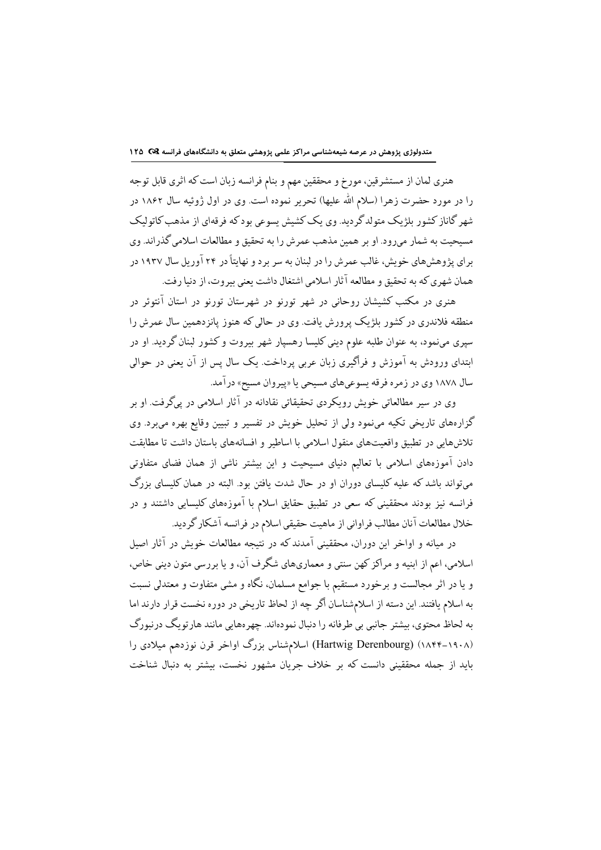هنری لمان از مستشرقین، مورخ و محققین مهم و بنام فرانسه زبان است که اثری قابل توجه را در مورد حضرت زهرا (سلام الله علیها) تحریر نموده است. وی در اول ژوئیه سال ۱۸۶۲ در شهر گاناز کشور بلژیک متولدگردید. وی یک کشیش پسوعی بود که فرقهای از مذهب کاتولیک .<br>مسیحیت به شمار می رود. او بر همین مذهب عمر ش را به تحقیق و مطالعات اسلامی گذر اند. وی برای پژوهشهای خویش، غالب عمرش را در لبنان به سر بر د و نهایتاً در ۲۴ آوریل سال ۱۹۳۷ در همان شهري كه به تحقيق و مطالعه آثار اسلامي اشتغال داشت يعني بيروت، از دنيا رفت.

هنری در مکتب کشیشان روحانی در شهر تورنو در شهرستان تورنو در استان آنتوئر در منطقه فلاندری در کشور بلژیک پرورش یافت. وی در حالی که هنوز پانزدهمین سال عمرش را سپری مینمود، به عنوان طلبه علوم دینی کلیسا رهسپار شهر بیروت و کشور لبنان گردید. او در ابتدای ورودش به آموزش و فراگیری زبان عربی پرداخت. یک سال پس از آن یعنی در حوالی سال ۱۸۷۸ وی در زمره فرقه پسوعیهای مسیحی یا «پیروان مسیح» درآمد.

وی در سیر مطالعاتی خویش رویکردی تحقیقاتی نقادانه در آثار اسلامی در پیگرفت. او بر گزارههای تاریخی تکیه مینمود ولی از تحلیل خویش در تفسیر و تبیین وقایع بهره میبرد. وی تلاشهایی در تطبیق واقعیتهای منقول اسلامی با اساطیر و افسانههای باستان داشت تا مطابقت دادن آموزههای اسلامی با تعالیم دنیای مسیحیت و این بیشتر ناشی از همان فضای متفاوتی میتواند باشد که علیه کلیسای دوران او در حال شدت یافتن بود. البته در همان کلیسای بزرگ فرانسه نیز بودند محققینی که سعی در تطبیق حقایق اسلام با آموزههای کلیسایی داشتند و در خلال مطالعات آنان مطالب فراواني از ماهيت حقيقي اسلام در فرانسه آشكار گرديد.

در میانه و اواخر این دوران، محققینی آمدند که در نتیجه مطالعات خویش در آثار اصیل اسلامي، اعم از ابنيه و مراكز كهن سنتي و معماريهاي شگرف آن، و يا بررسي متون ديني خاص، و یا در اثر مجالست و برخورد مستقیم با جوامع مسلمان، نگاه و مشی متفاوت و معتدلی نسبت به اسلام یافتند. این دسته از اسلامشناسان اگر چه از لحاظ تاریخی در دوره نخست قرار دارند اما به لحاظ محتوي، بيشتر جانبي بي طرفانه را دنبال نمودهاند. چهرههايي مانند هارتويگ درنبورگ (۱۸۴۴–۱۸۴۴) (Hartwig Derenbourg) اسلامشناس بزرگ اواخر قرن نوزدهم میلادی را باید از جمله محققینی دانست که بر خلاف جریان مشهور نخست، بیشتر به دنبال شناخت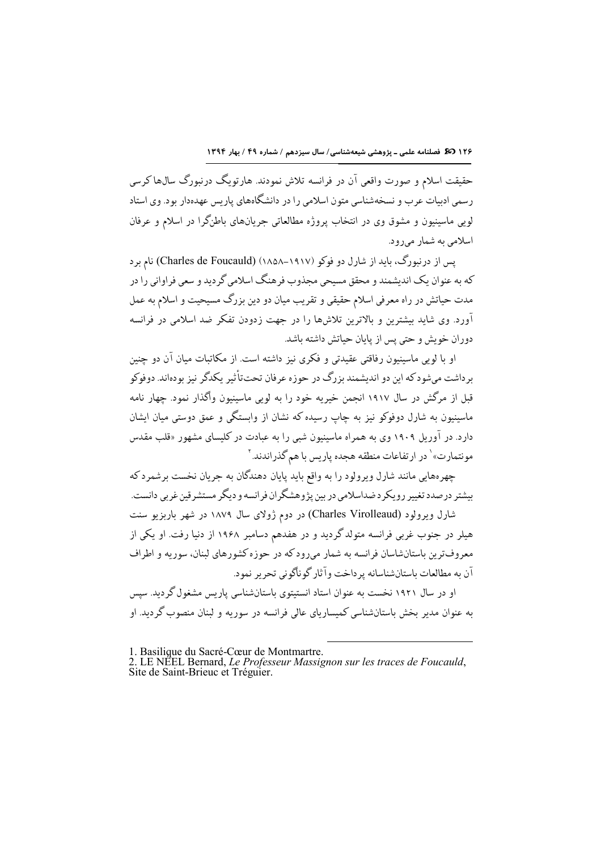۱۲۶ **تک** فصلنامه علمی ـ پژوهشی شیعهشناسی/ سال سیزدهم / شماره ۴۹ / بهار ۱۳۹۴

حقیقت اسلام و صورت واقعی آن در فرانسه تلاش نمودند. هارتویگ درنبورگ سال&اکرسی رسمی ادبیات عرب و نسخهشناسی متون اسلامی را در دانشگاههای پاریس عهدهدار بود. وی استاد لویی ماسینیون و مشوق وی در انتخاب پروژه مطالعاتی جریانهای باطنگرا در اسلام و عرفان اسلامي به شمار مي رود.

یس از درنبورگ، باید از شارل دو فوکو (۱۹۱۷–۱۸۵۸) (Charles de Foucauld) نام بر د که به عنوان یک اندیشمند و محقق مسیحی مجذوب فرهنگ اسلامی گردید و سعی فراوانی را در مدت حیاتش در راه معرفی اسلام حقیقی و تقریب میان دو دین بزرگ مسیحیت و اسلام به عمل آورد. وی شاید بیشترین و بالاترین تلاشها را در جهت زدودن تفکر ضد اسلامی در فرانسه دوران خویش و حتی پس از پایان حیاتش داشته باشد.

او با لوبی ماسینیون رفاقتی عقیدتی و فکری نیز داشته است. از مکاتبات میان آن دو چنین برداشت میشود که این دو اندیشمند بزرگ در حوزه عرفان تحتتاًثیر یکدگر نیز بودهاند. دوفوکو قبل از مرگش در سال ۱۹۱۷ انجمن خیریه خود را به لویی ماسینیون واگذار نمود. چهار نامه ماسینیون به شارل دوفوکو نیز به چاپ رسیده که نشان از وابستگی و عمق دوستی میان ایشان دارد. در آوریل ۱۹۰۹ وی به همراه ماسینیون شبی را به عبادت در کلیسای مشهور «قلب مقدس مونتمارت»<sup>\</sup> در ارتفاعات منطقه هجده پاریس با هم گذراندند.<sup>۲</sup>

چهرههایی مانند شارل ویرولود را به واقع باید پایان دهندگان به جریان نخست برشمرد که بیشتر درصدد تغییر رویکردضداسلامی در بین پژوهشگران فرانسه و دیگر مستشرقین غربی دانست.

شارل ویرولود (Charles Virolleaud) در دوم ژولای سال ۱۸۷۹ در شهر باربزیو سنت هیلر در جنوب غربی فرانسه متولدگردید و در هفدهم دسامبر ۱۹۶۸ از دنیا رفت. او یکی از معروف ترین باستانشاسان فرانسه به شمار میرودکه در حوزه کشورهای لبنان، سوریه و اطراف آن به مطالعات باستانشناسانه ير داخت وآثار گوناگوني تحرير نمود.

او در سال ۱۹۲۱ نخست به عنوان استاد انستیتوی باستانشناسی پاریس مشغول گردید. سپس به عنوان مدیر بخش باستانشناسی کمیساریای عالی فرانسه در سوریه و لبنان منصوب گردید. او

l

<sup>1.</sup> Basilique du Sacré-Cœur de Montmartre.

<sup>2.</sup> LE NÉEL Bernard, Le Professeur Massignon sur les traces de Foucauld, Site de Saint-Brieuc et Tréguier.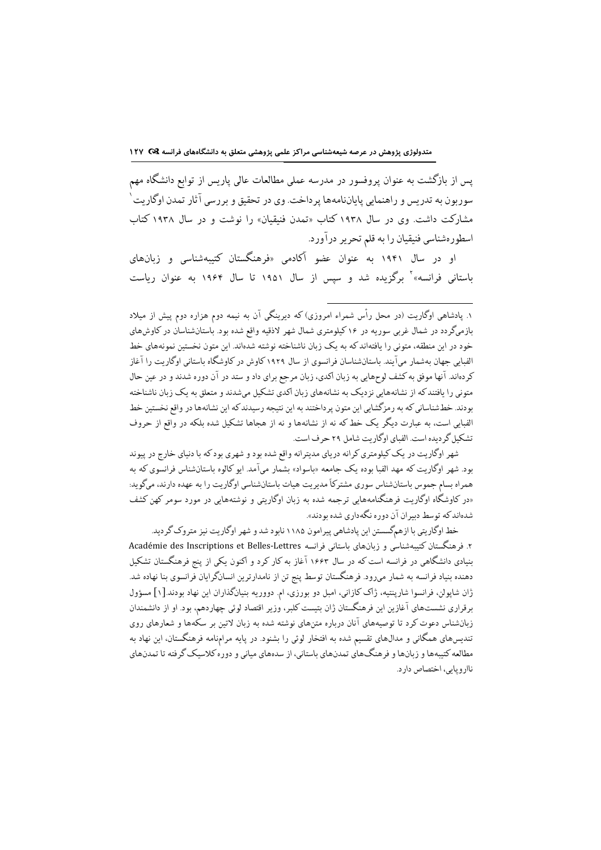یس از بازگشت به عنوان پروفسور در مدرسه عملی مطالعات عالی پاریس از توابع دانشگاه مهم سوربون به تدريس و راهنمايي پاياننامهها پر داخت. وي در تحقيق و بررسي آثار تمدن اوگاريت ٰ مشارکت داشت. وی در سال ۱۹۳۸ کتاب «تمدن فنیقیان» را نوشت و در سال ۱۹۳۸ کتاب اسطورهشناسي فنيقيان را به قلم تحرير درآورد.

او در سال ۱۹۴۱ به عنوان عضو آکادمی «فرهنگستان کتیبهشناسی و زبانهای باستانی فرانسه»<sup>۲</sup> برگزیده شد و سپس از سال ۱۹۵۱ تا سال ۱۹۶۴ به عنوان ریاست

شهر اوگاریت در یک کیلومتری کرانه دریای مدیترانه واقع شده بود و شهری بود که با دنیای خارج در پیوند بود. شهر اوگاریت که مهد الفبا بوده یک جامعه «باسواد» بشمار میآمد. ایو کالوه باستانشناس فرانسوی که به همراه بسام جموس باستانشناس سوري مشتركاً مديريت هيات باستانشناسي اوگاريت را به عهده دارند، ميگويد: «در کاوشگاه اوگاریت فرهنگنامههایی ترجمه شده به زبان اوگاریتی و نوشتههایی در مورد سومر کهن کشف .<br>شدهاند که توسط دیبر ان آن دوره نگهداری شده بودند».

خط اوگاریتی با ازهمگسستن این پادشاهی پیرامون ۱۱۸۵ نابود شد و شهر اوگاریت نیز متروک گردید. ۲. فرهنگستان کتیبهشناسی و زبانهای باستانی فرانسه Académie des Inscriptions et Belles-Lettres بنیادی دانشگاهی در فرانسه است که در سال ۱۶۶۳ آغاز به کار کرد و اکنون یکی از پنج فرهنگستان تشکیل دهنده بنیاد فرانسه به شمار میرود. فرهنگستان توسط پنج تن از نامدارترین انسانگرایان فرانسوی بنا نهاده شد. ژان شایولن، فرانسوا شارینتیه، ژاک کازانی، امبل دو بورزی، ام دووریه بنیانگذاران این نهاد بودند.[۱] مسؤول برقراری نشستهای آغازین این فرهنگستان ژان بتیست کلبر، وزیر اقتصاد لوئی چهاردهم، بود. او از دانشمندان زبانشناس دعوت کرد تا توصیههای آنان درباره متنهای نوشته شده به زبان لاتین بر سکهها و شعارهای روی تندیسهای همگانی و مدال،های تقسیم شده به افتخار لوئی را بشنود. در پایه مرامنامه فرهنگستان، این نهاد به مطالعه کتیبهها و زبانها و فرهنگهای تمدنهای باستانی، از سدههای میانی و دوره کلاسبک گرفته تا تمدنهای ناارويايي، اختصاص دارد.

۱. یادشاهی اوگاریت (در محل رأس شمراء امروزی) که دیرینگی آن به نیمه دوم هزاره دوم پیش از میلاد بازمیگردد در شمال غربی سوریه در ۱۶ کیلومتری شمال شهر لاذقیه واقع شده بود. باستانشناسان در کاوش۵ای خود در این منطقه، متونی را یافتهاندکه به یک زبان ناشناخته نوشته شدهاند. این متون نخستین نمونههای خط الفبابی جهان بهشمار میآیند. باستانشناسان فرانسوی از سال ۱۹۲۹ کاوش در کاوشگاه باستانی اوگاریت را آغاز کردهاند. آنها موفق به کشف لوحهایی به زبان اکدی، زبان مرجع برای داد و ستد در آن دوره شدند و در عین حال متونی را یافتند که از نشانههایی نزدیک به نشانههای زبان اکدی تشکیل میشدند و متعلق به یک زبان ناشناخته بودند. خطشناسانی که به رمزگشایی این متون پرداختند به این نتیجه رسیدند که این نشانهها در واقع نخستین خط الفبایی است، به عبارت دیگر یک خط که نه از نشانهها و نه از هجاها تشکیل شده بلکه در واقع از حروف تشکیل گر دیده است. الفیای اوگار بت شامل ۲۹ حرف است.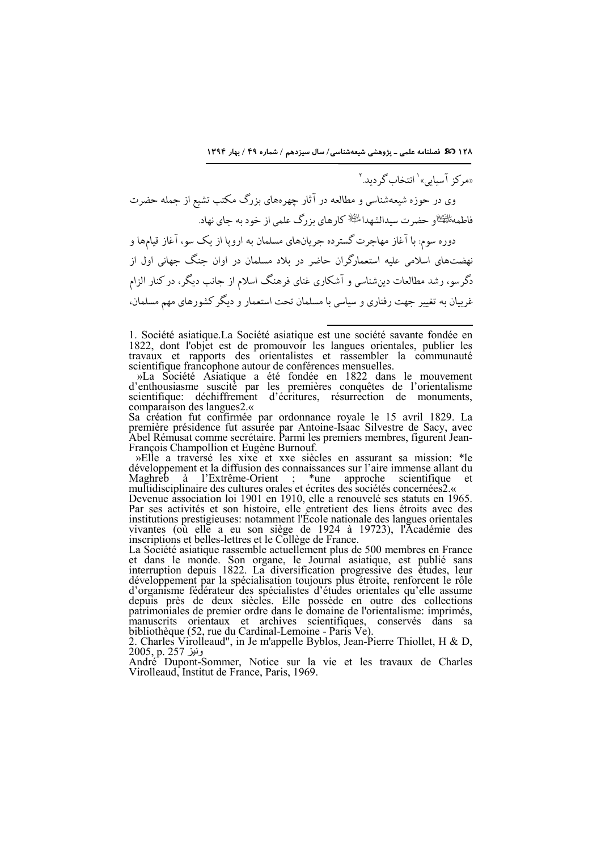۱۲۸ **ت کی** فصلنامه علمی ـ پژوهشی شیعهشناسی/ سال سیزدهم / شماره ۴۹ / بهار ۱۳۹۴

«مرکز آسیایی» ٰ انتخاب گردید. ٔ وی در حوزه شیعهشناسی و مطالعه در آثار چهرههای بزرگ مکتب تشیع از جمله حضرت فاطمه الصَّي الله عليه الله عليه عليه السَّفاط السَّلاب العلمي از خود به جاي نهاد. دوره سوم: با آغاز مهاجرت گستر ده جریانهای مسلمان به اروپا از یک سو، آغاز قیامها و نهضتهای اسلامی علیه استعمارگران حاضر در بلاد مسلمان در اوان جنگ جهانی اول از دگرسو، رشد مطالعات دینِشناسی و آشکاری غنای فرهنگ اسلام از جانب دیگر، در کنار الزام غربیان به تغییر جهت رفتاری و سیاسی با مسلمان تحت استعمار و دیگر کشورهای مهم مسلمان،

1. Société asiatique.La Société asiatique est une société savante fondée en 1822, dont l'objet est de promouvoir les langues orientales, publier les travaux et rapports des orientalistes et rassembler la communauté scientifique francophone autour de conférences mensuelles.

l

 »La Société Asiatique a été fondée en 1822 dans le mouvement d'enthousiasme suscité par les premières conquêtes de l'orientalisme scientifique: déchiffrement d'écritures, résurrection de monuments, comparaison des langues2. «

Sa création fut confirmée par ordonnance royale le 15 avril 1829. La première présidence fut assurée par Antoine-Isaac Silvestre de Sacy, avec Abel Rémusat comme secrétaire. Parmi les premiers membres, figurent Jean-François Champollion et Eugène Burnouf.

 »Elle a traversé les xixe et xxe siècles en assurant sa mission: \*le développement et la diffusion des connaissances sur l'aire immense allant du Maghreb à l'Extrême-Orient ; \*une approche scientifique et multidisciplinaire des cultures orales et écrites des sociétés concernées2. «

Devenue association loi 1901 en 1910, elle a renouvelé ses statuts en 1965. Par ses activités et son histoire, elle entretient des liens étroits avec des institutions prestigieuses: notamment l'École nationale des langues orientales vivantes (où elle a eu son siège de 1924 à 19723), l'Académie des inscriptions et belles-lettres et le Collège de France.

La Société asiatique rassemble actuellement plus de 500 membres en France et dans le monde. Son organe, le Journal asiatique, est publié sans interruption depuis 1822. La diversification progressive des études, leur développement par la spécialisation toujours plus étroite, renforcent le rôle d'organisme fédérateur des spécialistes d'études orientales qu'elle assume depuis près de deux siècles. Elle possède en outre des collections patrimoniales de premier ordre dans le domaine de l'orientalisme: imprimés, manuscrits orientaux et archives scientifiques, conservés dans sa bibliothèque (52, rue du Cardinal-Lemoine - Paris Ve).

2. Charles Virolleaud", in Je m'appelle Byblos, Jean-Pierre Thiollet, H & D, ونيز 257 <u>p</u>. 257

André Dupont-Sommer, Notice sur la vie et les travaux de Charles Virolleaud, Institut de France, Paris, 1969.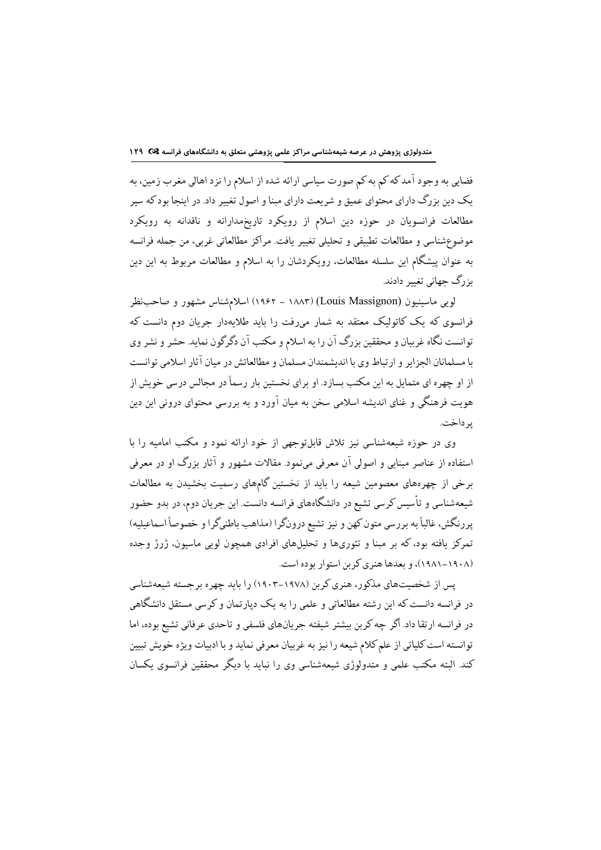فضایی به وجود آمد که کم به کم صورت سیاسی ارائه شده از اسلام را نزد اهالی مغرب زمین، به یک دین بزرگ دارای محتوای عمیق و شریعت دارای مبنا و اصول تغییر داد. در اینجا بود که سیر مطالعات فرانسویان در حوزه دین اسلام از رویکرد تاریخمدارانه و ناقدانه به رویکرد موضوعشناسي و مطالعات تطبيقي و تحليلي تغيير يافت. مراكز مطالعاتي غربي، من جمله فرانسه به عنوان پیشگام این سلسله مطالعات، رویکردشان را به اسلام و مطالعات مربوط به این دین بزرگ جهانی تغییر دادند.

لویی ماسینیون (Louis Massignon) (۱۸۸۳ – ۱۹۶۲) اسلامشناس مشهور و صاحبنظر فرانسوی که یک کاتولیک معتقد به شمار میرفت را باید طلایهدار جریان دوم دانست که توانست نگاه غربیان و محققین بزرگ آن را به اسلام و مکتب آن دگرگون نماید. حشر و نشر وی با مسلمانان الجزاير و ارتباط وي با انديشمندان مسلمان و مطالعاتش در ميان آثار اسلامي توانست از او چهره ای متمایل به این مکتب بسازد. او برای نخستین بار رسماً در مجالس درسی خویش از هویت فرهنگی و غنای اندیشه اسلامی سخن به میان آورد و به بررسی محتوای درونی این دین ير داخت.

وی در حوزه شیعهشناسی نیز تلاش قابلتوجهی از خود ارائه نمود و مکتب امامیه را با استفاده از عناصر مبنایی و اصولی آن معرفی مینمود. مقالات مشهور و آثار بزرگ او در معرفی برخی از چهرههای معصومین شیعه را باید از نخستین گامهای رسمیت بخشیدن به مطالعات شیعهشناسی و تأسیس کرسی تشیع در دانشگاههای فرانسه دانست. این جریان دوم، در بدو حضور پررنگش، غالباً به بررسی متون کهن و نیز تشیع درونگرا (مذاهب باطنیگرا و خصوصاً اسماعیلیه) تمرکز یافته بود،که بر مبنا و تئوریها و تحلیلهای افرادی همچون لویی ماسیون، ژرژ وجده (۱۹۰۸–۱۹۸۱)، و بعدها هنری کرین استوار بوده است.

یس از شخصیتهای مذکور، هنری کربن (۱۹۷۸–۱۹۰۳) را باید چهره برجسته شیعهشناسی در فرانسه دانست که این رشته مطالعاتی و علمی را به یک دیارتمان و کرسی مستقل دانشگاهی در فرانسه ارتقا داد. اگر چه کربن بیشتر شیفته جریانهای فلسفی و تاحدی عرفانی تشیع بوده، اما توانسته است كلياتي از علم كلام شيعه را نيز به غربيان معرفي نمايد و با ادبيات ويژه خويش تبيين کند. البته مکتب علمی و متدولوژی شیعهشناسی وی را نیاید یا دیگر محققین فرانسوی یکسان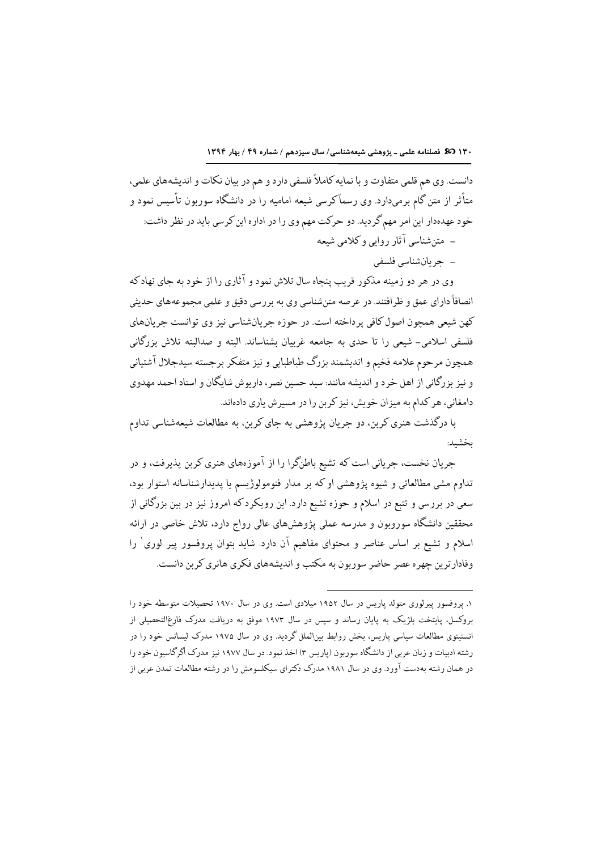١٣٠ 30 فصلنامه علمي - پژوهشي شيعهشناسي/ سال سيزدهم / شماره ٤٩ / بهار ١٣٩٤

دانست. وي هم قلمي متفاوت و با نمايه كاملاً فلسفي دارد و هم در بيان نكات و انديشههاي علمي، متأثر از متن گام برمیدارد. وی رسماًکرسی شیعه امامیه را در دانشگاه سوربون تأسیس نمود و خود عهدهدار این امر مهم گردید. دو حرکت مهم وی را در اداره این کرسی باید در نظر داشت: – متن شناسی آثار روایی و کلامی شیعه – حربان شناسی فلسفی

وی در هر دو زمینه مذکور قریب پنجاه سال تلاش نمود و آثاری را از خود به جای نهاد که انصافاً داراي عمق و ظرافتند. در عرصه متن شناسي وي به بررسي دقيق و علمي مجموعههاي حديثي كهن شيعي همچون اصول كافي پرداخته است. در حوزه جريانشناسي نيز وي توانست جريانهاي فلسفی اسلامی- شیعی را تا حدی به جامعه غربیان بشناساند. البته و صدالبته تلاش بزرگانی همچون مرحوم علامه فخيم و انديشمند بزرگ طباطبايي و نيز متفكر برجسته سيدجلال آشتياني و نیز بزرگانی از اهل خرد و اندیشه مانند: سید حسین نصر، داریوش شایگان و استاد احمد مهدوی دامغانی، هر کدام به میزان خویش، نیز کربن را در مسیر ش یاری دادهاند.

با درگذشت هنری کربن، دو جریان پژوهشی به جای کربن، به مطالعات شیعهشناسی تداوم ىخشىد:

جریان نخست، جریانی است که تشیع باطنگرا را از آموزههای هنری کربن پذیرفت، و در .<br>تداوم مشي مطالعاتي و شيوه پژوهشي او كه بر مدار فنومولوژيسم يا پديدارشناسانه استوار بود، سعی در بررسی و تتبع در اسلام و حوزه تشیع دارد. این رویکردکه امروز نیز در بین بزرگانی از محققین دانشگاه سوروبون و مدرسه عملی یژوهشهای عالی رواج دارد، تلاش خاصی در ارائه اسلام و تشیع بر اساس عناصر و محتوای مفاهیم آن دارد. شاید بتوان پروفسور پیر لوری ٔ را وفادار ترین چهره عصر حاضر سوریون به مکتب و اندیشههای فکری هانری کرین دانست.

۱. پروفسور پیرلوری متولد پاریس در سال ۱۹۵۲ میلادی است. وی در سال ۱۹۷۰ تحصیلات متوسطه خود را بروکسل، پایتخت بلژیک به پایان رساند و سپس در سال ۱۹۷۳ موفق به دریافت مدرک فارغالتحصیلی از انستیتوی مطالعات سیاسی پاریس، بخش روابط بینالملل گردید. وی در سال ۱۹۷۵ مدرک لیسانس خود را در رشته ادبیات و زبان عربی از دانشگاه سوربون (پاریس ۳) اخذ نمود. در سال ۱۹۷۷ نیز مدرک اگرگاسیون خود را در همان رشته به دست آور د. وی در سال ۱۹۸۱ مدرک دکترای سیکلسومش را در رشته مطالعات تمدن عربی از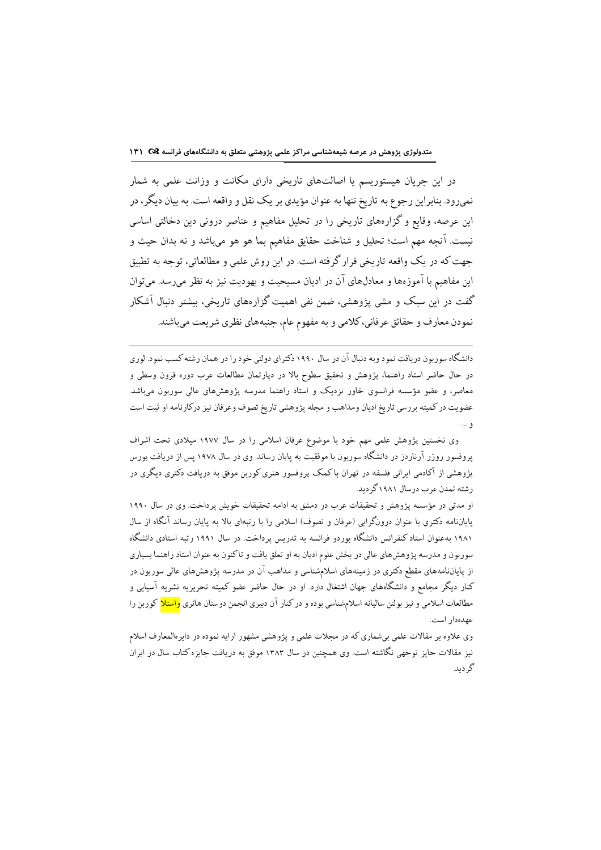در این جریان هیستوریسم یا اصالتهای تاریخی دارای مکانت و وزانت علمی به شمار نمیرود. بنابراین رجوع به تاریخ تنها به عنوان مؤیدی بر یک نقل و واقعه است. به بیان دیگر، در این عرصه، وقایع و گزارههای تاریخی را در تحلیل مفاهیم و عناصر درونی دین دخالتی اساسی نيست. آنچه مهم است؛ تحليل و شناخت حقايق مفاهيم بما هو هو ميباشد و نه بدان حيث و جهت که در یک واقعه تاریخی قرار گرفته است. در این روش علمی و مطالعاتی، توجه به تطبیق ابن مفاهیم با آموزهها و معادلهای آن در ادیان مسیحیت و یهودیت نیز به نظر میرسد. میتوان گفت در این سبک و مشی پژوهشی، ضمن نفی اهمیت گزارههای تاریخی، بیشتر دنبال آشکار نمودن معارف و حقائق عرفاني،كلامي و به مفهوم عام، جنبههاي نظري شريعت ميباشند.

دانشگاه سوربون دریافت نمود وبه دنبال آن در سال ۱۹۹۰ دکترای دولتی خود را در همان رشته کسب نمود. لوری در حال حاضر استاد راهنما، پژوهش و تحقیق سطوح بالا در دیارتمان مطالعات عرب دوره قرون وسطی و معاصر، و عضو مؤسسه فرانسوی خاور نزدیک و استاد راهنما مدرسه پژوهش۵ای عالی سوربون میباشد. عضويت در كميته بررسي تاريخ اديان ومذاهب و مجله پژوهشي تاريخ تصوف وعرفان نيز دركارنامه او ثبت است و …

وی نخستین پژوهش علمی مهم خود با موضوع عرفان اسلامی را در سال ۱۹۷۷ میلادی تحت اشراف پروفسور روژر آرناردز در دانشگاه سوربون با موفقیت به پایان رساند. وی در سال ۱۹۷۸ پس از دریافت بورس پژوهشی از آکادمی ایرانی فلسفه در تهران باکمک پروفسور هنری کوربن موفق به دریافت دکتری دیگری در ر شته تمدن عر ب در سال ۱۹۸۱ گر دید.

او مدتی در مؤسسه پژوهش و تحقیقات عرب در دمشق به ادامه تحقیقات خویش پرداخت. وی در سال ۱۹۹۰ پایاننامه دکتری با عنوان درونگرایی (عرفان و تصوف) اسلامی را با رتبهای بالا به پایان رساند آنگاه از سال ۱۹۸۱ بهءنوان استاد کنفرانس دانشگاه بوردو فرانسه به تدریس پرداخت. در سال ۱۹۹۱ رتبه استادی دانشگاه سوربون و مدرسه پژوهشهای عالی در بخش علوم ادیان به او تعلق یافت و تاکنون به عنوان استاد راهنما بسیاری از پایاننامههای مقطع دکتری در زمینههای اسلامشناسی و مذاهب آن در مدرسه پژوهشهای عالی سوربون در کنار دیگر مجامع و دانشگاههای جهان اشتغال دارد. او در حال حاضر عضو کمیته تحریریه نشریه آسیایی و مطالعات اسلامی و نیز بولتن سالیانه اسلامشناسی بوده و در کنار آن دبیری انجمن دوستان هانری <mark>واستلا</mark> کوربن را عهدهدار است.

وی علاوه بر مقالات علمی بیشماری که در مجلات علمی و پژوهشی مشهور ارایه نموده در دایرهالمعارف اسلام نیز مقالات حایز توجهی نگاشته است. وی همچنین در سال ۱۳۸۳ موفق به دریافت جایزه کتاب سال در ایران گر دىد.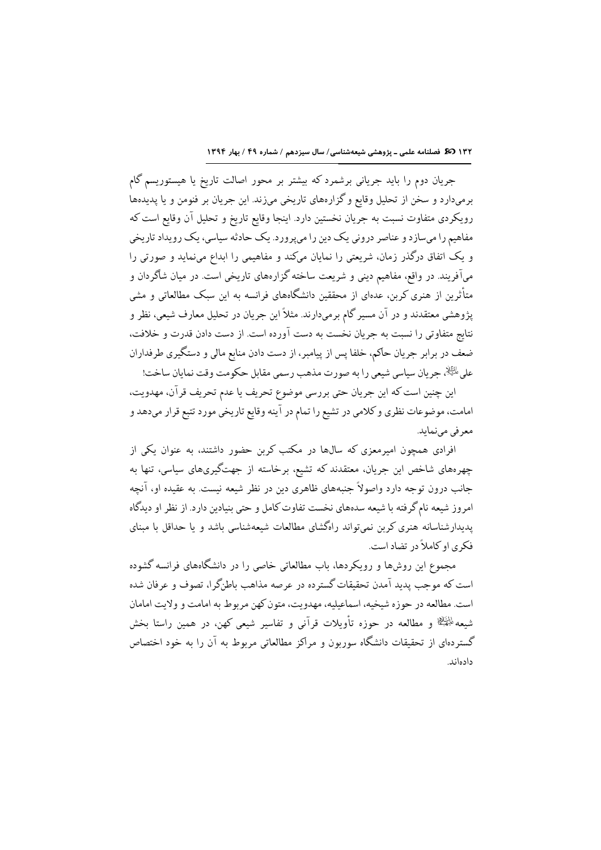١٣٢ (3 فصلنامه علمی ـ پژوهشی شیعهشناسی/ سال سیزدهم / شماره ۴۹ / بهار ١٣٩٤

جریان دوم را باید جریانی برشمرد که بیشتر بر محور اصالت تاریخ یا هیستوریسم گام برميدارد و سخن از تحليل وقايع و گزارههاي تاريخي مي(ند. اين جريان بر فنومن و يا پديدهها رویکردی متفاوت نسبت به جریان نخستین دارد. اینجا وقایع تاریخ و تحلیل آن وقایع است که مفاهیم را می سازد و عناصر درونی یک دین را می پرورد. یک حادثه سیاسی، یک رویداد تاریخی و یک اتفاق درگذر زمان، شریعتی را نمایان میکند و مفاهیمی را ابداع مینماید و صورتی را میآفریند. در واقع، مفاهیم دینی و شریعت ساخته گزارههای تاریخی است. در میان شاگردان و متأثرین از هنری کربن، عدهای از محققین دانشگاههای فرانسه به این سبک مطالعاتی و مشی پژوهشی معتقدند و در آن مسیر گام برمیدارند. مثلاً این جریان در تحلیل معارف شیعی، نظر و نتايج متفاوتي را نسبت به جريان نخست به دست آورده است. از دست دادن قدرت و خلافت، ضعف در برابر جریان حاکم، خلفا پس از پیامبر، از دست دادن منابع مالی و دستگیری طرفداران على الرَّالِ جريان سياسي شيعي را به صورت مذهب رسمي مقابل حكومت وقت نمايان ساخت!

این چنین است که این جریان حتی بررسی موضوع تحریف یا عدم تحریف قرآن، مهدویت، امامت، موضوعات نظري و كلامي در تشيع را تمام در آينه وقايع تاريخي مورد تتبع قرار ميدهد و معرفي مينمايد.

افرادی همچون امیرمعزی که سالها در مکتب کربن حضور داشتند، به عنوان یکی از چهرههای شاخص این جریان، معتقدند که تشیع، برخاسته از جهتگیریهای سیاسی، تنها به جانب درون توجه دارد واصولاً جنبههای ظاهری دین در نظر شیعه نیست. به عقیده او، آنچه امروز شیعه نام گرفته با شیعه سدههای نخست تفاوت کامل و حتی بنیادین دارد. از نظر او دیدگاه پدیدارشناسانه هنری کربن نمی تواند راهگشای مطالعات شیعهشناسی باشد و یا حداقل با مبنای فکری او کاملاً در تضاد است.

مجموع این روشها و رویکردها، باب مطالعاتی خاصی را در دانشگاههای فرانسه گشوده است که موحب پدید آمدن تحقیقات گسترده در عرصه مذاهب باطنگرا، تصوف و عرفان شده است. مطالعه در حوزه شيخيه، اسماعيليه، مهدويت، متون كهن مربوط به امامت و ولايت امامان شیعه <sup>پا</sup>ئِخَ<sup>الِد</sup>ُا و مطالعه در حوزه تأویلات قرآنی و تفاسیر شیعی کهن، در همین راستا بخش گستردهای از تحقیقات دانشگاه سوربون و مراکز مطالعاتی مربوط به آن را به خود اختصاص دادهاند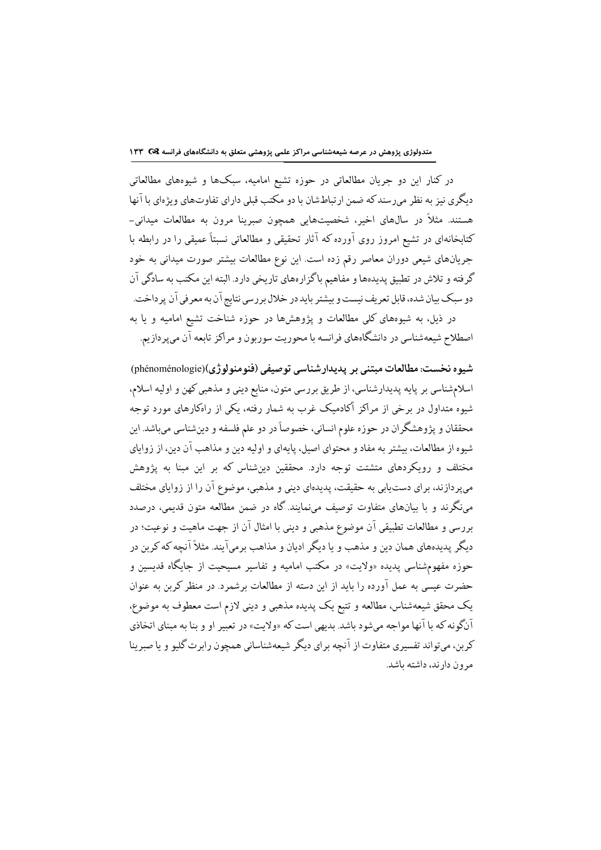در کنار این دو جریان مطالعاتی در حوزه تشیع امامیه، سبکها و شیوههای مطالعاتی دیگری نیز به نظر می رسند که ضمن ارتباطشان با دو مکتب قبلی دارای تفاوتهای ویژهای با آنها هستند. مثلاً در سالهای اخیر، شخصیتهایی همچون صبرینا مرون به مطالعات میدانی-کتابخانهای در تشیع امروز روی آورده که آثار تحقیقی و مطالعاتی نسبتاً عمیقی را در رابطه با جریانهای شیعی دوران معاصر رقم زده است. این نوع مطالعات بیشتر صورت میدانی به خود گرفته و تلاش در تطبیق پدیدهها و مفاهیم باگزارههای تاریخی دارد. البته این مکتب به سادگی آن دو سبک بیان شده، قابل تعریف نیست و بیشتر باید در خلال بررسی نتایج آن به معرفی آن پرداخت. در ذیل، به شیوههای کلی مطالعات و پژوهشها در حوزه شناخت تشیع امامیه و یا به اصطلاح شیعهشناسی در دانشگاههای فرانسه با محوریت سوربون و مراکز تابعه آن میپردازیم.

شيوه نخست: مطالعات مبتني بر پديدارشناسي توصيفي (فنومنولوژي)(phénoménologie) اسلامشناسي بر پايه پديدارشناسي، از طريق بررسي متون، منابع ديني و مذهبي كهن و اوليه اسلام، .<br>شیوه متداول در برخی از مراکز آکادمیک غرب به شمار رفته، یکی از راهکارهای مورد توجه محققان و پژوهشگران در حوزه علوم انسانی، خصوصاً در دو علم فلسفه و دینشناسی میباشد. این شیوه از مطالعات، بیشتر به مفاد و محتوای اصیل، پایهای و اولیه دین و مذاهب آن دین، از زوایای مختلف و رویکردهای متشتت توجه دارد. محققین دینشناس که بر این مبنا به پژوهش میپردازند، برای دستیابی به حقیقت، پدیدهای دینی و مذهبی، موضوع آن را از زوایای مختلف می:گرند و با بیانهای متفاوت توصیف می:مایند. گاه در ضمن مطالعه متون قدیمی، درصدد بررسی و مطالعات تطبیقی آن موضوع مذهبی و دینی با امثال آن از جهت ماهیت و نوعیت؛ در دیگر پدیدههای همان دین و مذهب و یا دیگر ادبان و مذاهب برمیآیند. مثلاً آنچه که کرین در حوزه مفهومشناسی پدیده «ولایت» در مکتب امامیه و تفاسیر مسیحیت از جایگاه قدیسین و حضرت عیسی به عمل آورده را باید از این دسته از مطالعات برشمرد. در منظر کربن به عنوان یک محقق شیعهشناس، مطالعه و تتبع یک پدیده مذهبی و دینی لازم است معطوف به موضوع، آنگونه که با آنها مواجه می شود باشد. بدیهی است که «ولایت» در تعبیر او و بنا به مینای اتخاذی کربن، ميتواند تفسيري متفاوت از آنچه براي ديگر شيعهشناساني همچون رابرت گليو و يا صبرينا مرون دارند، داشته باشد.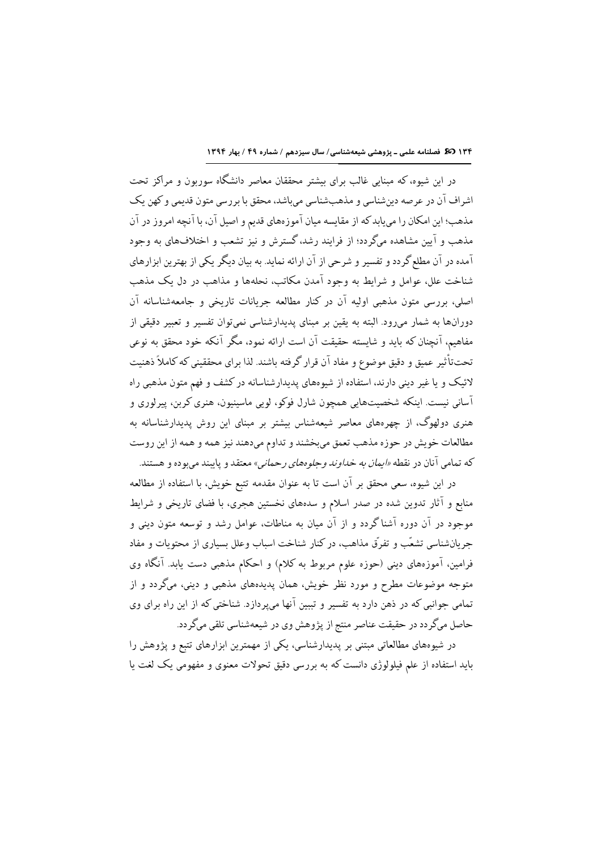١٣۴ 30 فصلنامه علمى - پژوهشى شيعهشناسى/ سال سيزدهم / شماره ٤٩ / بهار ١٣٩٤

در این شیوه، که مبنایی غالب برای بیشتر محققان معاصر دانشگاه سوربون و مراکز تحت اشراف آن در عرصه دین شناسی و مذهب شناسی می باشد، محقق با بررسی متون قدیمی و کهن یک مذهب؛ این امکان را میپابدکه از مقایسه میان آموزههای قدیم و اصیل آن، با آنچه امروز در آن مذهب و آیین مشاهده میگردد؛ از فرایند رشد،گسترش و نیز تشعب و اختلافهای به وجود آمده در آن مطلع گردد و تفسیر و شرحی از آن ارائه نماید. به بیان دیگر یکی از بهترین ابزارهای شناخت علل، عوامل و شرایط به وجود آمدن مکاتب، نحلهها و مذاهب در دل یک مذهب اصلی، بررسی متون مذهبی اولیه آن در کنار مطالعه جریانات تاریخی و جامعهشناسانه آن دورانها به شمار میرود. البته به یقین بر مبنای پدیدارشناسی نمیتوان تفسیر و تعبیر دقیقی از مفاهیم، آنچنان که باید و شایسته حقیقت آن است ارائه نمود، مگر آنکه خود محقق به نوعی تحتتأثير عميق و دقيق موضوع و مفاد آن قرار گرفته باشند. لذا براي محققيني كه كاملاً ذهنيت لائیک و یا غیر دینی دارند، استفاده از شیوههای پدیدارشناسانه در کشف و فهم متون مذهبی راه آسانی نیست. اینکه شخصیتهایی همچون شارل فوکو، لویی ماسینیون، هنری کربن، پیرلوری و هنری دولهوگ، از چهرههای معاصر شیعهشناس بیشتر بر مبنای این روش پدیدارشناسانه به مطالعات خويش در حوزه مذهب تعمق مىبخشند و تداوم مىدهند نيز همه و همه از اين روست كه تمامي آنان در نقطه *«ايمان به خداوند وجلوههاي رحماني»* معتقد و پايبند ميبوده و هستند.

در این شیوه، سعی محقق بر آن است تا به عنوان مقدمه تتبع خویش، با استفاده از مطالعه منابع و آثار تدوین شده در صدر اسلام و سدههای نخستین هجری، با فضای تاریخی و شرایط موجود در آن دوره آشناگردد و از آن میان به مناطات، عوامل رشد و توسعه متون دینی و جریانشناسی تشعّب و تفرّق مذاهب، در کنار شناخت اسباب وعلل بسیاری از محتویات و مفاد فرامین، آموزههای دینی (حوزه علوم مربوط به کلام) و احکام مذهبی دست یابد. آنگاه وی متوجه موضوعات مطرح و مورد نظر خویش، همان پدیدههای مذهبی و دینی، میگردد و از تمامی جوانبی که در ذهن دارد به تفسیر و تببین آنها میپردازد. شناختی که از این راه برای وی حاصل میگر دد در حقیقت عناصر منتج از پژوهش وی در شیعهشناسی تلقی میگر دد.

در شیوههای مطالعاتی مبتنی بر پدیدارشناسی، یکی از مهمترین ابزارهای تتبع و پژوهش را باید استفاده از علم فیلولوژی دانست که به بررسی دقیق تحولات معنوی و مفهومی یک لغت یا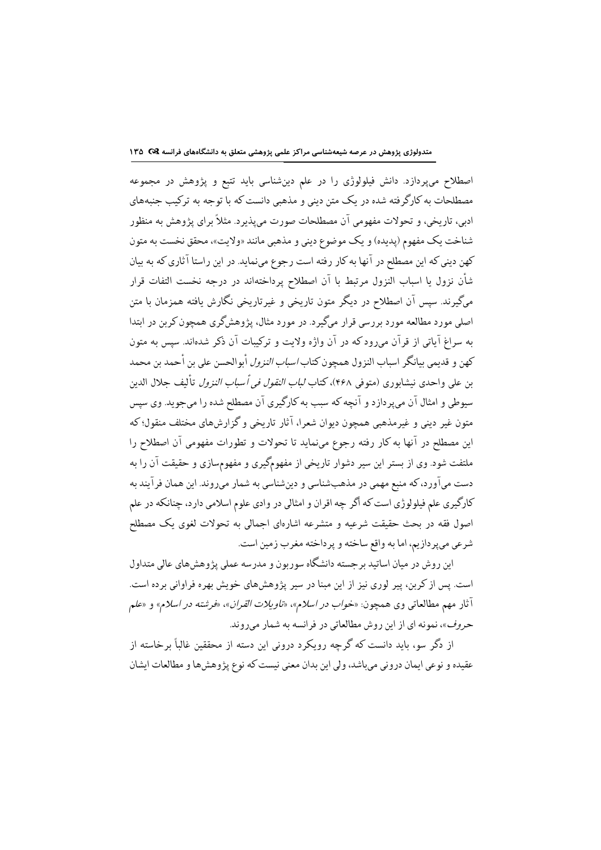اصطلاح میپردازد. دانش فیلولوژی را در علم دینشناسی باید تتبع و پژوهش در مجموعه مصطلحات به کارگرفته شده در یک متن دینی و مذهبی دانست که با توجه به ترکیب جنبههای ادبی، تاریخی، و تحولات مفهومی آن مصطلحات صورت میپذیرد. مثلاً برای پژوهش به منظور شناخت یک مفهوم (پدیده) و یک موضوع دینی و مذهبی مانند «ولایت»، محقق نخست به متون کهن دینی که این مصطلح در آنها به کار رفته است رجوع می;نماید. در این راستا آثاری که به بیان شأن نزول یا اسباب النزول مرتبط با آن اصطلاح پرداختهاند در درجه نخست التفات قرار مرگیرند. سپس آن اصطلاح در دیگر متون تاریخی و غیرتاریخی نگارش یافته همزمان با متن اصلی مورد مطالعه مورد بررسی قرار میگیرد. در مورد مثال، پژوهشگری همچون کربن در ابتدا به سراغ آیاتی از قرآن می رودکه در آن واژه ولایت و ترکیبات آن ذکر شدهاند. سپس به متون كهن و قديمي بيانگر اسباب النزول همچون كتاب *اسباب النزول* أبوالحسن على بن أحمد بن محمد بن على واحدى نيشابوري (متوفى ۴۶۸)، كتاب *لباب النقول في أسباب النزول* تأليف جلال الدين سبوطی و امثال آن می پر دازد و آنچه که سبب به کارگیری آن مصطلح شده را میجوید. وی سپس متون غیر دینی و غیرمذهبی همچون دیوان شعرا، آثار تاریخی و گزارشهای مختلف منقول؛ که این مصطلح در آنها به کار رفته رجوع مینماید تا تحولات و تطورات مفهومی آن اصطلاح را ملتفت شود. وی از بستر این سیر دشوار تاریخی از مفهومگیری و مفهومسازی و حقیقت آن را به دست میآورد، که منبع مهمی در مذهبشناسی و دینشناسی به شمار میروند. این همان فرآیند به کارگیری علم فیلولوژی است که اگر چه اقران و امثالی در وادی علوم اسلامی دارد، چنانکه در علم اصول فقه در بحث حقیقت شرعیه و متشرعه اشارهای اجمالی به تحولات لغوی یک مصطلح شرعي مي پردازيم، اما به واقع ساخته و پرداخته مغرب زمين است.

این روش در میان اساتید برجسته دانشگاه سوربون و مدرسه عملی پژوهشهای عالی متداول است. پس از کربن، پیر لوری نیز از این مبنا در سیر پژوهشهای خویش بهره فراوانی برده است. آثار مهم مطالعاتي وي همچون: «خ*واب در اسلام»، «تاويلات القران»، «فرشته در اسلام» و «علم* حروف»، نمونه اي از اين روش مطالعاتي در فرانسه به شمار مي روند.

از دگر سو، باید دانست که گرچه رویکرد درونی این دسته از محققین غالباً برخاسته از عقيده و نوعي ايمان دروني مي باشد، ولي اين بدان معنى نيست كه نوع يژوهش ها و مطالعات ايشان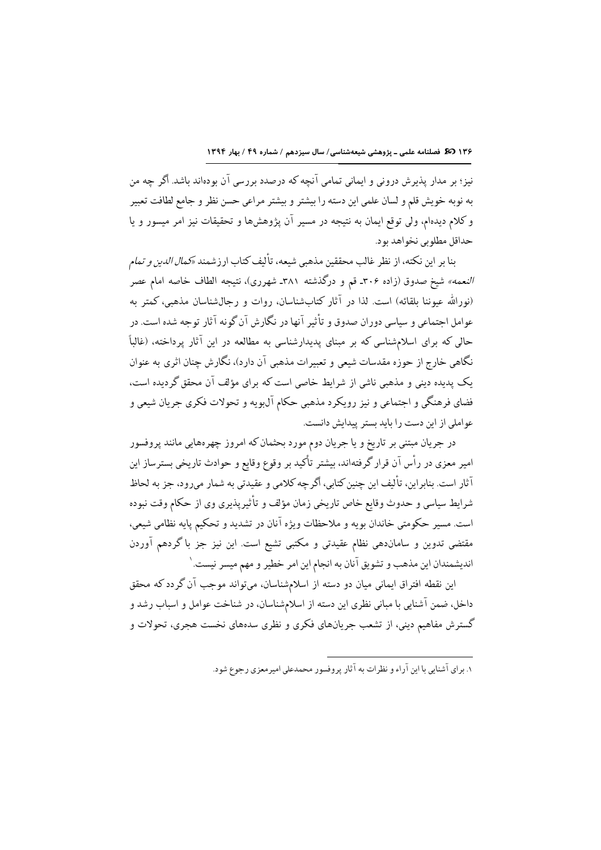نیز؛ بر مدار پذیرش درونی و ایمانی تمامی آنچه که درصدد بررسی آن بودهاند باشد. اگر چه من به نوبه خويش قلم و لسان علمي اين دسته را بيشتر و بيشتر مراعي حسن نظر و جامع لطافت تعبير و کلام دیدهام، ولی توقع ایمان به نتیجه در مسیر آن پژوهشها و تحقیقات نیز امر میسور و یا حداقل مطلو پي نخو اهد يو د.

بنا بر اين نكته، از نظر غالب محققين مذهبي شيعه، تأليف كتاب ارزشمند «*كمال الدين و تمام النعمه»* شیخ صدوق (زاده ۳۰۶ـ قم و درگذشته ۳۸۱ـ شهرری)، نتیجه الطاف خاصه امام عصر (نورالله عیوننا بلقائه) است. لذا در آثار کتابشناسان، روات و رجالشناسان مذهبی، کمتر به عوامل اجتماعی و سیاسی دوران صدوق و تأثیر آنها در نگارش آن گونه آثار توجه شده است. در حالی که برای اسلامشناسی که بر مبنای پدیدارشناسی به مطالعه در این آثار پرداخته، (غالباً نگاهی خارج از حوزه مقدسات شیعی و تعبیرات مذهبی آن دارد)، نگارش چنان اثری به عنوان یک پدیده دینی و مذهبی ناشی از شرایط خاصی است که برای مؤلف آن محقق گردیده است، فضاي فرهنگي و اجتماعي و نيز رويكرد مذهبي حكام آل@يه و تحولات فكري جريان شيعي و عواملي از اين دست را بايد بستر پيدايش دانست.

در جریان مبتنی بر تاریخ و یا جریان دوم مورد بحثمان که امروز چهرههایی مانند پروفسور امیر معزی در رأس آن قرار گرفتهاند، بیشتر تأکید بر وقوع وقایع و حوادث تاریخی بسترساز این .<br>آثار است. بنابر این، تألیف این چنین کتابی، اگر چه کلامی و عقیدتی به شمار می رود، جز به لحاظ شرايط سياسي و حدوث وقايع خاص تاريخي زمان مؤلف و تأثيريذيري وي از حكام وقت نبوده است. مسیر حکومتی خاندان بویه و ملاحظات ویژه آنان در تشدید و تحکیم پایه نظامی شیعی، مقتضی تدوین و ساماندهی نظام عقیدتی و مکتبی تشیع است. این نیز جز با گردهم آوردن اندیشمندان این مذهب و تشویق آنان به انجام این امر خطیر و مهم میسر نیست. ۱

این نقطه افتراق ایمانی میان دو دسته از اسلامشناسان، میتواند موجب آن گردد که محقق داخل، ضمن آشنایی با مبانی نظری این دسته از اسلامشناسان، در شناخت عوامل و اسباب رشد و گسترش مفاهیم دینی، از تشعب جریانهای فکری و نظری سدههای نخست هجری، تحولات و

۱. برای آشنام را این آراء و نظرات به آثار پروفسور محمدعلی امیرمعزی رجوع شود.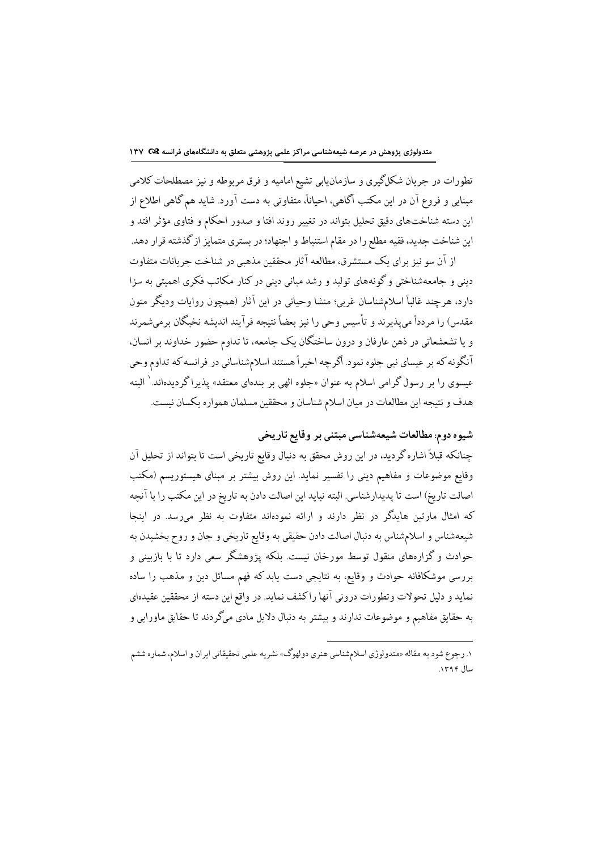تطورات در جریان شکلگیری و سازمانیابی تشیع امامیه و فرق مربوطه و نیز مصطلحات کلامی مبنایی و فروع آن در این مکتب آگاهی، احیاناً، متفاوتی به دست آورد. شاید هم گاهی اطلاع از این دسته شناختهای دقیق تحلیل بتواند در تغییر روند افتا و صدور احکام و فتاوی مؤثر افتد و این شناخت جدید، فقیه مطلع را در مقام استنباط و اجتهاد؛ در بستری متمایز از گذشته قرار دهد.

از آن سو نیز برای یک مستشرق، مطالعه آثار محققین مذهبی در شناخت جریانات متفاوت دینی و جامعهشناختی و گونههای تولید و رشد مبانی دینی در کنار مکاتب فکری اهمیتی به سزا دارد، هرچند غالباً اسلامشناسان غربی؛ منشا وحیانی در این آثار (همچون روایات ودیگر متون مقدس) را مردداً مىپذيرند و تأسيس وحى را نيز بعضاً نتيجه فرآيند انديشه نخبگان برمىشمرند و یا تشعشعاتی در ذهن عارفان و درون ساختگان یک جامعه، تا تداوم حضور خداوند بر انسان، آنگونه که بر عیسای نبی جلوه نمود. اگرچه اخیراً هستند اسلامشناسانی در فرانسه که تداوم وحی عیسوی را بر رسول گرامی اسلام به عنوان «جلوه الهی بر بندهای معتقد» پذیراگردیدهاند.<sup>\</sup> البته هدف و نتيجه اين مطالعات در ميان اسلام شناسان و محققين مسلمان همواره يكسان نيست.

## شیوه دوم: مطالعات شیعهشناسی مبتنی بر وقایع تاریخی

چنانکه قبلاً اشاره گردید، در این روش محقق به دنبال وقایع تاریخی است تا بتواند از تحلیل آن وقایع موضوعات و مفاهیم دینی را تفسیر نماید. این روش بیشتر بر مبنای هیستوریسم (مکتب اصالت تاريخ) است تا يديدارشناسي. البته نبايد اين اصالت دادن به تاريخ در اين مكتب را با آنچه كه امثال مارتين هايدگر در نظر دارند و ارائه نمودهاند متفاوت به نظر مىرسد. در اينجا شیعهشناس و اسلامشناس به دنبال اصالت دادن حقیقی به وقایع تاریخی و جان و روح بخشیدن به حوادث و گزارههای منقول توسط مورخان نیست. بلکه پژوهشگر سعی دارد تا با بازبینی و بررسی موشکافانه حوادث و وقایع، به نتایجی دست یابد که فهم مسائل دین و مذهب را ساده نمايد و دليل تحولات وتطورات دروني آنها راكشف نمايد. در واقع اين دسته از محققين عقيدهاي به حقایق مفاهیم و موضوعات ندارند و بیشتر به دنبال دلایل مادی میگردند تا حقایق ماورایی و

l

۱. رجوع شود به مقاله «متدولوژي اسلامشناسي هنري دولهوگ» نشريه علمي تحقيقاتي ايران و اسلام، شماره ششم سال ۱۳۹۴.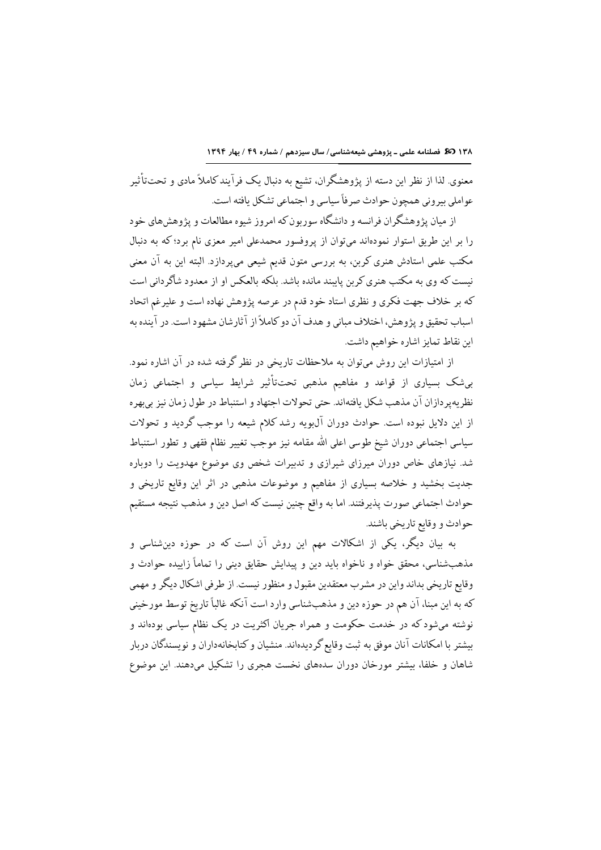معنوی لذا از نظر این دسته از پژوهشگران، تشیع به دنبال یک فرآیند کاملاً مادی و تحتتأثیر عواملي بيروني همچون حوادث صرفاً سياسي و اجتماعي تشكل يافته است.

از میان پژوهشگران فرانسه و دانشگاه سوربون که امروز شیوه مطالعات و پژوهشهای خود را بر این طریق استوار نمودهاند میتوان از پروفسور محمدعلی امیر معزی نام برد؛ که به دنبال مکتب علمی استادش هنری کربن، به بررسی متون قدیم شیعی میپردازد. البته این به آن معنی نیست که وی به مکتب هنری کربن پایبند مانده باشد. بلکه بالعکس او از معدود شاگردانی است که بر خلاف جهت فکری و نظری استاد خود قدم در عرصه پژوهش نهاده است و علیرغم اتحاد اسباب تحقیق و پژوهش، اختلاف مبانی و هدف آن دو کاملاً از آثارشان مشهود است. در آینده به اين نقاط تمايز اشاره خواهيم داشت.

از امتیازات این روش میتوان به ملاحظات تاریخی در نظر گرفته شده در آن اشاره نمود. بیشک بسیاری از قواعد و مفاهیم مذهبی تحتتأثیر شرایط سیاسی و اجتماعی زمان نظريه ير دازان آن مذهب شكل يافتهاند. حتى تحولات اجتهاد و استنباط در طول زمان نيز بي بهره از این دلایل نبوده است. حوادث دوران آل¢ویه رشد کلام شیعه را موجب گردید و تحولات سیاسی اجتماعی دوران شیخ طوسی اعلی الله مقامه نیز موجب تغییر نظام فقهی و تطور استنباط شد. نیازهای خاص دوران میرزای شیرازی و تدبیرات شخص وی موضوع مهدویت را دوباره جدیت بخشید و خلاصه بسیاری از مفاهیم و موضوعات مذهبی در اثر این وقایع تاریخی و حوادث اجتماعي صورت يذيرفتند. اما به واقع چنين نيست كه اصل دين و مذهب نتيجه مستقيم حوادث و وقايع تاريخي باشند.

به بیان دیگر، یکی از اشکالات مهم این روش آن است که در حوزه دینشناسی و مذهبشناسی، محقق خواه و ناخواه باید دین و پیدایش حقایق دینی را تماماً زاییده حوادث و وقایع تاریخی بداند واین در مشرب معتقدین مقبول و منظور نیست. از طرفی اشکال دیگر و مهمی كه به اين مبنا، آن هم در حوزه دين و مذهبشناسي وارد است آنكه غالباً تاريخ توسط مورخيني نوشته میشودکه در خدمت حکومت و همراه جریان اکثریت در یک نظام سیاسی بودهاند و بیشتر با امکانات آنان موفق به ثبت وقایع گردیدهاند. منشیان و کتابخانهداران و نویسندگان دربار شاهان و خلفا، بیشتر مورخان دوران سدههای نخست هجری را تشکیل میدهند. این موضوع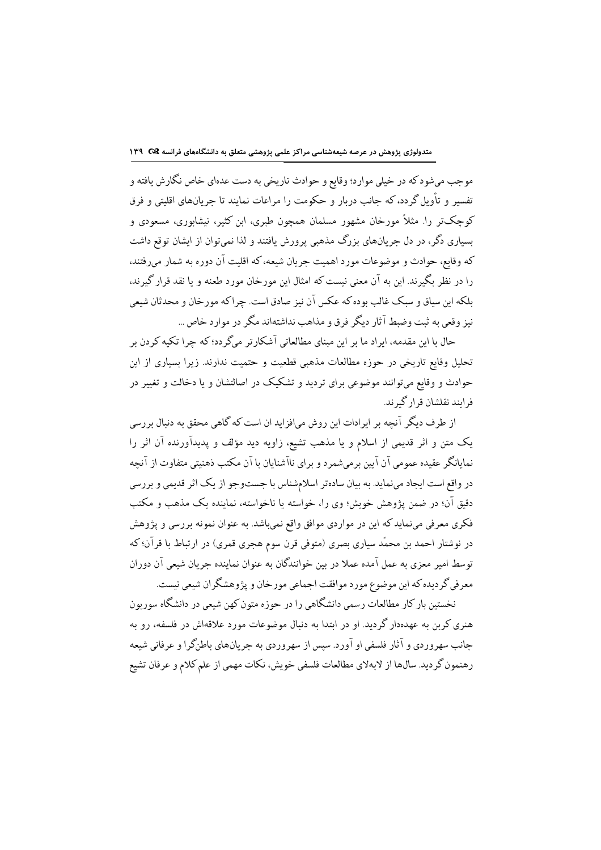موجب ميشود كه در خيلي موارد؛ وقايع و حوادث تاريخي به دست عدهاي خاص نگارش يافته و تفسیر و تأویل گردد، که جانب دربار و حکومت را مراعات نمایند تا جریانهای اقلیتی و فرق کوچکتر را. مثلاً مورخان مشهور مسلمان همچون طبری، ابن کثیر، نیشابوری، مسعودی و بسیاری دگر، در دل حربانهای بزرگ مذهبی پرورش بافتند و لذا نمی توان از ایشان توقع داشت كه وقايع، حوادث و موضوعات مورد اهميت جريان شيعه، كه اقليت آن دوره به شمار مىرفتند، را در نظر بگیرند. این به آن معنی نیست که امثال این مورخان مورد طعنه و یا نقد قرار گیرند، بلکه این سیاق و سبک غالب بوده که عکس آن نیز صادق است. چراکه مورخان و محدثان شیعی نیز وقعی به ثبت وضبط آثار دیگر فرق و مذاهب نداشتهاند مگر در موارد خاص …

حال با این مقدمه، ایراد ما بر این مبنای مطالعاتی آشکارتر میگردد؛ که چرا تکیه کردن بر تحلیل وقایع تاریخی در حوزه مطالعات مذهبی قطعیت و حتمیت ندارند. زیرا بسیاری از این حوادث و وقایع میتوانند موضوعی برای تردید و تشکیک در اصالتشان و یا دخالت و تغییر در فرایند نقلشان قرار گیرند.

از طرف دیگر آنچه بر ایرادات این روش میافزاید ان است که گاهی محقق به دنبال بررسی یک متن و اثر قدیمی از اسلام و یا مذهب تشیع، زاویه دید مؤلف و پدیدآورنده آن اثر را نمایانگر عقیده عمومی آن آیین برمیشمرد و برای ناآشنایان با آن مکتب ذهنیتی متفاوت از آنچه در واقع است ایجاد مینماید. به بیان سادهتر اسلامشناس با جستوجو از یک اثر قدیمی و بررسی دقیق آن؛ در ضمن یژوهش خویش؛ وی را، خواسته یا ناخواسته، نماینده یک مذهب و مکتب فکری معرفی مینماید که این در مواردی موافق واقع نمیباشد. به عنوان نمونه بررسی و پژوهش در نوشتار احمد بن محمّد سیاری بصری (متوفی قرن سوم هجری قمری) در ارتباط با قرآن؛ که توسط امیر معزی به عمل آمده عملا در بین خوانندگان به عنوان نماینده جریان شیعی آن دوران معرفي گرديده كه اين موضوع مورد موافقت اجماعي مورخان و پژوهشگران شيعي نيست.

نخستین بار کار مطالعات رسمی دانشگاهی را در حوزه متون کهن شیعی در دانشگاه سوربون هنری کرین به عهدهدار گردید. او در ابتدا به دنبال موضوعات مورد علاقهاش در فلسفه، رو به جانب سهروردي و آثار فلسفي او آورد. سپس از سهروردي به جريانهاي باطنگرا و عرفاني شيعه رهنمون گردید. سالها از لابهلای مطالعات فلسفی خویش، نکات مهمی از علم کلام و عرفان تشیع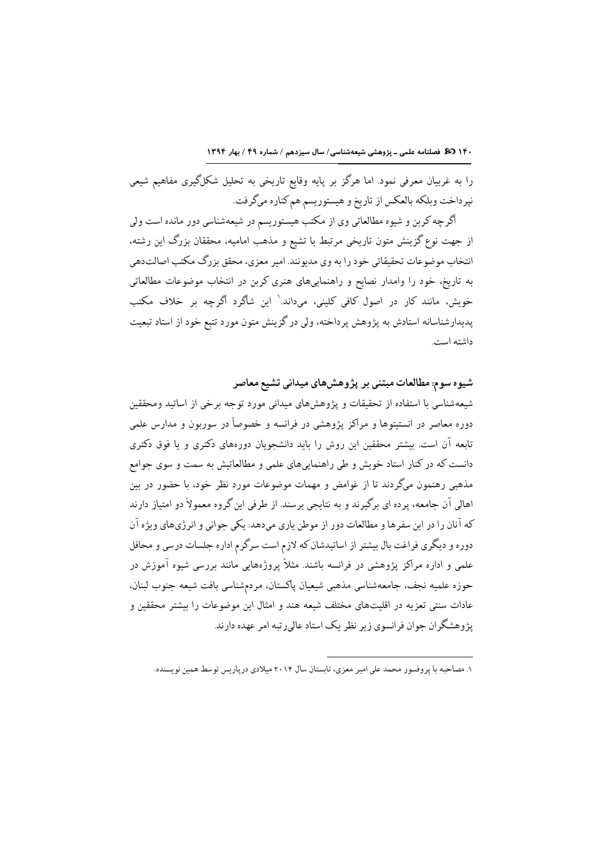١٤٠ 30 فصلنامه علمي - پژوهشي شيعهشناسي/ سال سيزدهم / شماره ٤٩ / بهار ١٣٩٤

را به غربیان معرفی نمود. اما هرگز بر پایه وقایع تاریخی به تحلیل شکلگیری مفاهیم شیعی نپرداخت وبلكه بالعكس از تاريخ و هيستوريسم هم كناره مىگرفت.

اگرچه کربن و شیوه مطالعاتی وی از مکتب هیستوریسم در شیعهشناسی دور مانده است ولی از جهت نوع گزینش متون تاریخی مرتبط با تشیع و مذهب امامیه، محققان بزرگ این رشته، انتخاب موضوعات تحقیقاتی خود را به وی مدیونند. امیر معزی، محقق بزرگ مکتب اصالتدهی به تاریخ، خود را وامدار نصایع و راهنماییهای هنری کربن در انتخاب موضوعات مطالعاتی خویش، مانند کار در اصول کافی کلینی، میداند.' این شاگرد اگرچه بر خلاف مکتب پدیدارشناسانه استادش به پژوهش پرداخته، ولی در گزینش متون مورد تتبع خود از استاد تبعیت داشته است.

شیوه سوم: مطالعات مبتنی بر پژوهشهای میدانی تشیع معاصر شیعهشناسی با استفاده از تحقیقات و پژوهشهای میدانی مورد توجه برخی از اساتید ومحققین دوره معاصر در انستیتوها و مراکز پژوهشی در فرانسه و خصوصاً در سوربون و مدارس علمی تابعه آن است. بیشتر محققین این روش را باید دانشجویان دورههای دکتری و یا فوق دکتری دانست که در کنار استاد خویش و طی راهنماییهای علمی و مطالعاتیش به سمت و سوی جوامع مذهبی رهنمون میگردند تا از غوامض و مهمات موضوعات مورد نظر خود، با حضور در بین اهالی آن جامعه، پرده ای برگیرند و به نتایجی برسند. از طرفی این گروه معمولاً دو امتیاز دارند که آنان را در این سفرها و مطالعات دور از موطن پاری میدهد: یکی جوانی و انرژیهای ویژه آن دوره و دیگری فراغت بال بیشتر از اساتیدشان که لازم است سرگرم اداره جلسات درسی و محافل علمی و اداره مراکز پژوهشی در فرانسه باشند. مثلاً پروژههایی مانند بررسی شیوه آموزش در حوزه علميه نجف، جامعهشناسي مذهبي شيعيان ياكستان، مردمشناسي بافت شيعه جنوب لبنان، عادات سنتی تعزیه در اقلیتهای مختلف شیعه هند و امثال این موضوعات را بیشتر محققین و یژوهشگران حوان فرانسوی زیر نظر یک استاد عالی رتبه امر عهده دارند.

۱. مصاحبه با پروفسور محمد علی امیر معزی، تابستان سال ۲۰۱۴ میلادی در پار سی توسط همین نویسنده.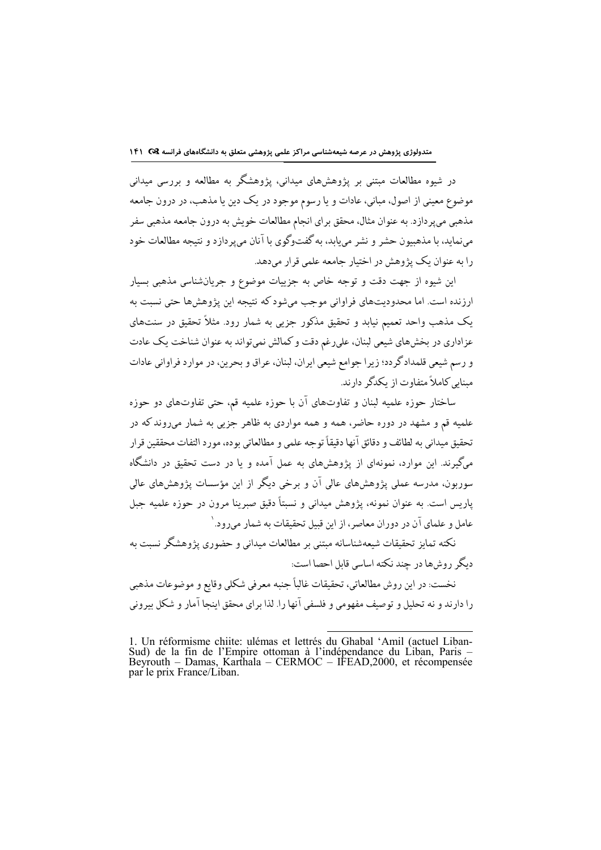در شیوه مطالعات مبتنی بر پژوهشهای میدانی، پژوهشگر به مطالعه و بررسی میدانی موضوع معینی از اصول، مبانی، عادات و یا رسوم موجود در یک دین یا مذهب، در درون جامعه مذهبی میپردازد. به عنوان مثال، محقق برای انجام مطالعات خویش به درون جامعه مذهبی سفر می نماید، با مذهبیون حشر و نشر می باید، به گفتوگوی با آنان می پر دازد و نتیجه مطالعات خود را به عنوان یک پژوهش در اختیار حامعه علمی قرار میدهد.

این شیوه از جهت دقت و توجه خاص به جزییات موضوع و جریانشناسی مذهبی بسیار ارزنده است. اما محدودیتهای فراوانی موجب میشود که نتیجه این پژوهشها حتی نسبت به یک مذهب واحد تعمیم نیابد و تحقیق مذکور جزیی به شمار رود. مثلاً تحقیق در سنتهای عزاداری در بخشهای شیعی لبنان، علیرغم دقت و کمالش نمیتواند به عنوان شناخت یک عادت و رسم شیعی قلمدادگردد؛ زیرا جوامع شیعی ایران، لبنان، عراق و بحرین، در موارد فراوانی عادات مینایی کاملاً متفاوت از یکدگر دارند.

ساختار حوزه علمیه لبنان و تفاوتهای آن با حوزه علمیه قم، حتی تفاوتهای دو حوزه علمیه قم و مشهد در دوره حاضر، همه و همه مواردی به ظاهر جزیی به شمار میروند که در تحقيق ميداني به لطائف و دقائق آنها دقيقاً توجه علمي و مطالعاتي بوده، مورد التفات محققين قرار مرگیرند. این موارد، نمونهای از پژوهشهای به عمل آمده و یا در دست تحقیق در دانشگاه سوربون، مدرسه عملی پژوهشهای عالی آن و برخی دیگر از این مؤسسات پژوهشهای عالی ياريس است. به عنوان نمونه، يژوهش ميداني و نسبتاً دقيق صبرينا مرون در حوزه علميه جبل عامل و علماي آن در دوران معاصر ، از اين قبيل تحقيقات به شمار ميرود. `

نکته تمایز تحقیقات شیعهشناسانه مبتنی بر مطالعات میدانی و حضوری پژوهشگر نسبت به دیگر روشها در چند نکته اساسی قابل احصا است:

نخست: در اين روش مطالعاتي، تحقيقات غالباً جنبه معرفي شكلي وقايع و موضوعات مذهبي را دارند و نه تحلیل و توصیف مفهومی و فلسفی آنها را. لذا برای محقق اینجا آمار و شکل بیرونی

<sup>1.</sup> Un réformisme chiite: ulémas et lettrés du Ghabal 'Amil (actuel Liban-Sud) de la fin de l'Empire ottoman à l'indépendance du Liban, Paris – Beyrouth – Damas, Karthala – CERMOC – IFEAD, 2000, et récompensée par le prix F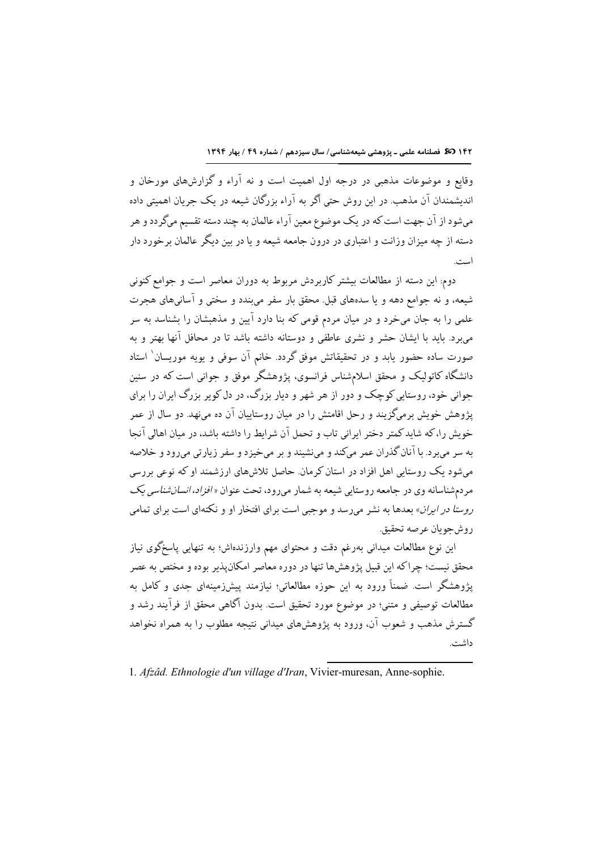١٤٢ (30 فصلنامه علمي - پژوهشي شيعهشناسي/ سال سيزدهم / شماره ٤٩ / بهار ١٣٩٤

وقایع و موضوعات مذهبی در درجه اول اهمیت است و نه آراء و گزارشهای مورخان و اندیشمندان آن مذهب. در این روش حتی اگر به آراء بزرگان شیعه در یک جریان اهمیتی داده میشود از آن جهت است که در یک موضوع معین آراء عالمان به چند دسته تقسیم میگردد و هر دسته از چه میزان وزانت و اعتباری در درون حامعه شیعه و یا در پین دیگر عالمان بر خورد دار است.

دوم: این دسته از مطالعات بیشتر کاربردش مربوط به دوران معاصر است و جوامع کنونی شیعه، و نه جوامع دهه و یا سدههای قبل. محقق بار سفر میبندد و سختی و آسانیهای هجرت علمی را به جان میخرد و در میان مردم قومی که بنا دارد آیین و مذهبشان را بشناسد به سر میبرد. باید با ایشان حشر و نشری عاطفی و دوستانه داشته باشد تا در محافل آنها بهتر و به صورت ساده حضور یابد و در تحقیقاتش موفق گردد. خانم آن سوفی و یویه موریسان ٰ استاد دانشگاه کاتولیک و محقق اسلامشناس فرانسوی، پژوهشگر موفق و جوانی است که در سنین جواني خود، روستايي کوچک و دور از هر شهر و ديار بزرگ، در دل کوير بزرگ ايران را براي یژوهش خویش برمیگزیند و رجل اقامتش را در میان روستاییان آن ده می نهد. دو سال از عمر خویش را،که شایدکمتر دختر ایرانی تاب و تحمل آن شرایط را داشته باشد، در میان اهالی آنجا به سر میبرد. با آنان گذران عمر میکند و مینشیند و بر میخیزد و سفر زیارتی میرود و خلاصه میشود یک روستایی اهل افزاد در استان کرمان. حاصل تلاشهای ارزشمند او که نوعی بررسی مردمشناسانه وي در جامعه روستايي شيعه به شمار مىرود، تحت عنوان «*افزاد، انسانشناسي يک* ر*وستا در ایران*» بعدها به نشر میرسد و موجبی است برای افتخار او و نکتهای است برای تمامی روشجويان عرصه تحقيق.

این نوع مطالعات میدانی بهرغم دقت و محتوای مهم وارزندهاش؛ به تنهایی پاسخگوی نیاز محقق نیست؛ چراکه این قبیل پژوهشها تنها در دوره معاصر امکانپذیر بوده و مختص به عصر یژوهشگر است. ضمناً ورود به این حوزه مطالعاتی؛ نیازمند پیشزرمینهای جدی و کامل به مطالعات توصیفی و متنی؛ در موضوع مورد تحقیق است. بدون آگاهی محقق از فرآیند رشد و گسترش مذهب و شعوب آن، ورود به پژوهشهای میدانی نتیجه مطلوب را به همراه نخواهد داشت.

<sup>1.</sup> Afzâd. Ethnologie d'un village d'Iran, Vivier-muresan, Anne-sophie.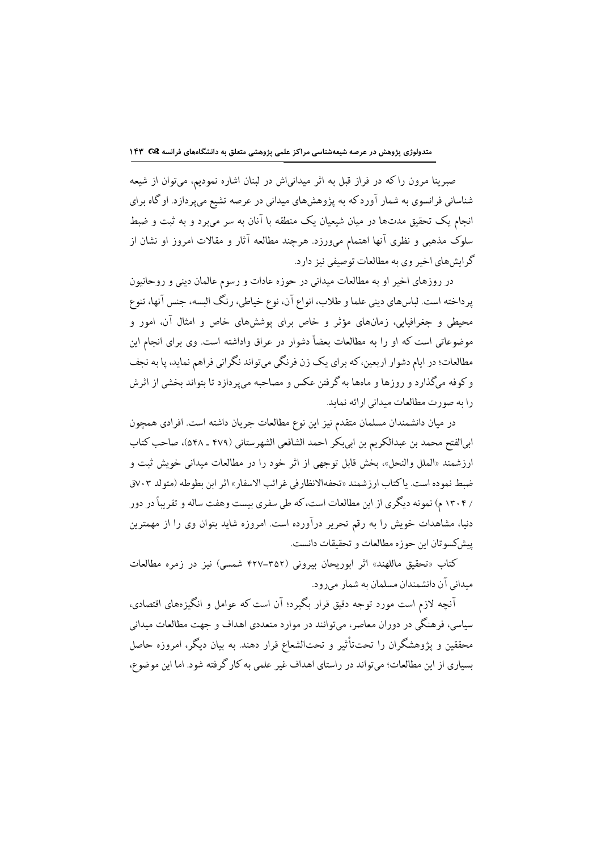صبرینا مرون راکه در فراز قبل به اثر میدانیاش در لبنان اشاره نمودیم، میتوان از شیعه شناسانی فرانسوی به شمار آوردکه به پژوهشهای میدانی در عرصه تشیع میپردازد. او گاه برای انجام یک تحقیق مدتها در میان شیعیان یک منطقه با آنان به سر میبرد و به ثبت و ضبط سلوک مذهبی و نظری آنها اهتمام میورزد. هرچند مطالعه آثار و مقالات امروز او نشان از گرايش هاي اخير وي به مطالعات توصيفي نيز دارد.

در روزهای اخیر او به مطالعات میدانی در حوزه عادات و رسوم عالمان دینی و روحانیون پرداخته است. لباسهای دینی علما و طلاب، انواع آن، نوع خیاطی، رنگ البسه، جنس آنها، تنوع محیطی و جغرافیایی، زمانهای مؤثر و خاص برای پوششهای خاص و امثال آن، امور و موضوعاتی است که او را به مطالعات بعضاً دشوار در عراق واداشته است. وی برای انجام این مطالعات؛ در ایام دشوار اربعین،که برای یک زن فرنگی میتواند نگرانی فراهم نماید، پا به نجف و کوفه میگذارد و روزها و ماهها به گرفتن عکس و مصاحبه میپردازد تا بتواند بخشی از اثرش را به صورت مطالعات میدانی ارائه نماید.

در میان دانشمندان مسلمان متقدم نیز این نوع مطالعات جریان داشته است. افرادی همچون ابي|لفتح محمد بن عبدالكريم بن ابيبكر احمد الشافعي الشهرستاني (٤٧٩ ـ ٥۴٨)، صاحب كتاب ارزشمند «الملل والنحل»، بخش قابل توجهي از اثر خود را در مطالعات ميداني خويش ثبت و ضبط نموده است. ياكتاب ارزشمند «تحفهالانظارفي غرائب الاسفار» اثر ابن بطوطه (متولد ٧٠٣ق / ۱۳۰۴ م) نمونه دیگری از این مطالعات است، که طی سفری بیست وهفت ساله و تقریباً در دور دنیا، مشاهدات خویش را به رقم تحریر درآورده است. امروزه شاید بتوان وی را از مهمترین يبش كسوتان ابن حوزه مطالعات و تحقيقات دانست.

كتاب «تحقيق ماللهند» اثر ابوريحان بيروني (٣٥٢–۴٢٧ شمسي) نيز در زمره مطالعات میدانی آن دانشمندان مسلمان به شمار میرود.

آنچه لازم است مورد توجه دقیق قرار بگیرد؛ آن است که عوامل و انگیزههای اقتصادی، سیاسی، فرهنگی در دوران معاصر، می توانند در موارد متعددی اهداف و جهت مطالعات میدانی محققین و یژوهشگران را تحتتأثیر و تحتالشعاع قرار دهند. به بیان دیگر، امروزه حاصل بسیاری از این مطالعات؛ میتواند در راستای اهداف غیر علمی به کار گرفته شود. اما این موضوع،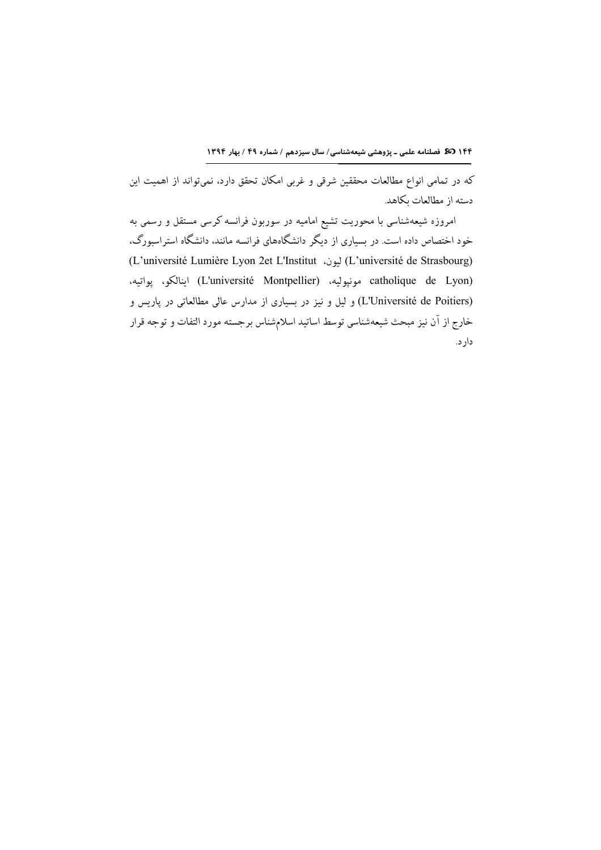۱۴۴ (30 فصلنامه علمی ـ پژوهشی شیعهشناسی/ سال سیزدهم / شماره ۴۹ / بهار ۱۳۹۴

که در تمامی انواع مطالعات محققین شرقی و غربی امکان تحقق دارد، نمیتواند از اهمیت این دسته از مطالعات بكاهد.

امروزه شیعهشناسی با محوریت تشیع امامیه در سوربون فرانسه کرسی مستقل و رسمی به خود اختصاص داده است. در بسیاری از دیگر دانشگاههای فرانسه مانند، دانشگاه استراسبورگ، (L'université de Strasbourg) ليون، L'Institut) ليون، L'université Lumière Lyon 2et L'Institut) catholique de Lyon) مونپوليه، (L'université Montpellier) اينالكو، يواتيه، (L'Université de Poitiers) و لیل و نیز در بسیاری از مدارس عالی مطالعاتی در پاریس و خارج از آن نیز مبحث شیعهشناسی توسط اساتید اسلامشناس برجسته مورد التفات و توجه قرار دار د.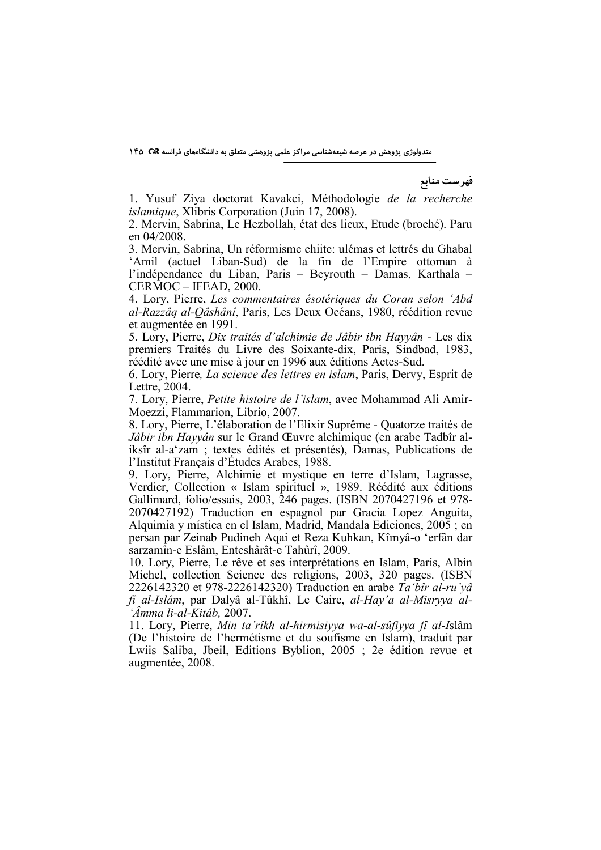متدولوژی پژوهش در عرصه شیعهشناسی مراکز علمی پژوهشی متعلق به دانشگاههای فرانسه Q& ۱۴۵

فهرست منابع

1. Yusuf Ziya doctorat Kavakci, Méthodologie de la recherche islamique, Xlibris Corporation (Juin 17, 2008).

2. Mervin, Sabrina, Le Hezbollah, état des lieux, Etude (broché). Paru en 04/2008.

3. Mervin, Sabrina, Un réformisme chiite: ulémas et lettrés du Ghabal 'Amil (actuel Liban-Sud) de la fin de l'Empire ottoman à l'indépendance du Liban, Paris – Beyrouth – Damas, Karthala – CERMOC – IFEAD, 2000.

4. Lory, Pierre, Les commentaires ésotériques du Coran selon 'Abd al-Razzâq al-Qâshânî, Paris, Les Deux Océans, 1980, réédition revue et augmentée en 1991.

5. Lory, Pierre, Dix traités d'alchimie de Jâbir ibn Hayyân - Les dix premiers Traités du Livre des Soixante-dix, Paris, Sindbad, 1983, réédité avec une mise à jour en 1996 aux éditions Actes-Sud.

6. Lory, Pierre, La science des lettres en islam, Paris, Dervy, Esprit de Lettre, 2004.

7. Lory, Pierre, Petite histoire de l'islam, avec Mohammad Ali Amir-Moezzi, Flammarion, Librio, 2007.

8. Lory, Pierre, L'élaboration de l'Elixir Suprême - Quatorze traités de Jâbir ibn Hayyân sur le Grand Œuvre alchimique (en arabe Tadbîr aliksîr al-a'zam ; textes édités et présentés), Damas, Publications de l'Institut Français d'Études Arabes, 1988.

9. Lory, Pierre, Alchimie et mystique en terre d'Islam, Lagrasse, Verdier, Collection « Islam spirituel », 1989. Réédité aux éditions Gallimard, folio/essais, 2003, 246 pages. (ISBN 2070427196 et 978- 2070427192) Traduction en espagnol par Gracia Lopez Anguita, Alquimia y mística en el Islam, Madrid, Mandala Ediciones, 2005 ; en persan par Zeinab Pudineh Aqai et Reza Kuhkan, Kîmyâ-o 'erfân dar sarzamîn-e Eslâm, Enteshârât-e Tahûrî, 2009.

10. Lory, Pierre, Le rêve et ses interprétations en Islam, Paris, Albin Michel, collection Science des religions, 2003, 320 pages. (ISBN 2226142320 et 978-2226142320) Traduction en arabe Ta'bîr al-ru'yâ fî al-Islâm, par Dalyâ al-Tûkhî, Le Caire, al-Hay'a al-Misryya al- 'Âmma li-al-Kitâb, 2007.

11. Lory, Pierre, Min ta'rîkh al-hirmisiyya wa-al-sûfiyya fî al-Islâm (De l'histoire de l'hermétisme et du soufisme en Islam), traduit par Lwiis Saliba, Jbeil, Editions Byblion, 2005 ; 2e édition revue et augmentée, 2008.